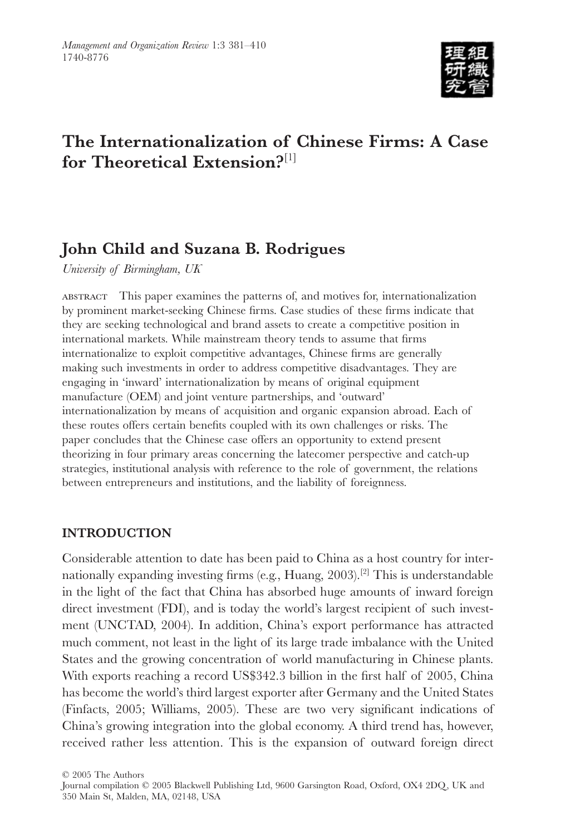

# **The Internationalization of Chinese Firms: A Case for Theoretical Extension?**[1]

# **John Child and Suzana B. Rodrigues**

*University of Birmingham, UK*

ABSTRACT This paper examines the patterns of, and motives for, internationalization by prominent market-seeking Chinese firms. Case studies of these firms indicate that they are seeking technological and brand assets to create a competitive position in international markets. While mainstream theory tends to assume that firms internationalize to exploit competitive advantages, Chinese firms are generally making such investments in order to address competitive disadvantages. They are engaging in 'inward' internationalization by means of original equipment manufacture (OEM) and joint venture partnerships, and 'outward' internationalization by means of acquisition and organic expansion abroad. Each of these routes offers certain benefits coupled with its own challenges or risks. The paper concludes that the Chinese case offers an opportunity to extend present theorizing in four primary areas concerning the latecomer perspective and catch-up strategies, institutional analysis with reference to the role of government, the relations between entrepreneurs and institutions, and the liability of foreignness.

## **INTRODUCTION**

Considerable attention to date has been paid to China as a host country for internationally expanding investing firms (e.g., Huang, 2003).<sup>[2]</sup> This is understandable in the light of the fact that China has absorbed huge amounts of inward foreign direct investment (FDI), and is today the world's largest recipient of such investment (UNCTAD, 2004). In addition, China's export performance has attracted much comment, not least in the light of its large trade imbalance with the United States and the growing concentration of world manufacturing in Chinese plants. With exports reaching a record US\$342.3 billion in the first half of 2005, China has become the world's third largest exporter after Germany and the United States (Finfacts, 2005; Williams, 2005). These are two very significant indications of China's growing integration into the global economy. A third trend has, however, received rather less attention. This is the expansion of outward foreign direct

© 2005 The Authors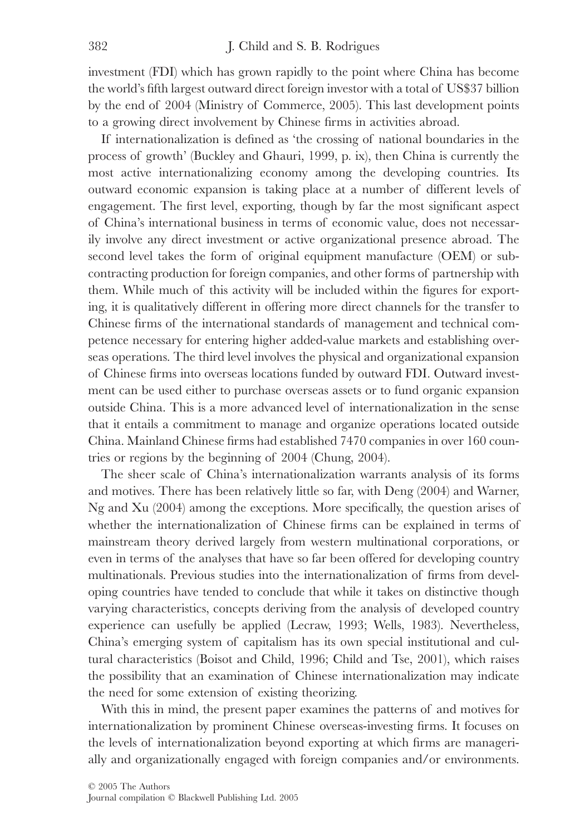investment (FDI) which has grown rapidly to the point where China has become the world's fifth largest outward direct foreign investor with a total of US\$37 billion by the end of 2004 (Ministry of Commerce, 2005). This last development points to a growing direct involvement by Chinese firms in activities abroad.

If internationalization is defined as 'the crossing of national boundaries in the process of growth' (Buckley and Ghauri, 1999, p. ix), then China is currently the most active internationalizing economy among the developing countries. Its outward economic expansion is taking place at a number of different levels of engagement. The first level, exporting, though by far the most significant aspect of China's international business in terms of economic value, does not necessarily involve any direct investment or active organizational presence abroad. The second level takes the form of original equipment manufacture (OEM) or subcontracting production for foreign companies, and other forms of partnership with them. While much of this activity will be included within the figures for exporting, it is qualitatively different in offering more direct channels for the transfer to Chinese firms of the international standards of management and technical competence necessary for entering higher added-value markets and establishing overseas operations. The third level involves the physical and organizational expansion of Chinese firms into overseas locations funded by outward FDI. Outward investment can be used either to purchase overseas assets or to fund organic expansion outside China. This is a more advanced level of internationalization in the sense that it entails a commitment to manage and organize operations located outside China. Mainland Chinese firms had established 7470 companies in over 160 countries or regions by the beginning of 2004 (Chung, 2004).

The sheer scale of China's internationalization warrants analysis of its forms and motives. There has been relatively little so far, with Deng (2004) and Warner, Ng and Xu (2004) among the exceptions. More specifically, the question arises of whether the internationalization of Chinese firms can be explained in terms of mainstream theory derived largely from western multinational corporations, or even in terms of the analyses that have so far been offered for developing country multinationals. Previous studies into the internationalization of firms from developing countries have tended to conclude that while it takes on distinctive though varying characteristics, concepts deriving from the analysis of developed country experience can usefully be applied (Lecraw, 1993; Wells, 1983). Nevertheless, China's emerging system of capitalism has its own special institutional and cultural characteristics (Boisot and Child, 1996; Child and Tse, 2001), which raises the possibility that an examination of Chinese internationalization may indicate the need for some extension of existing theorizing.

With this in mind, the present paper examines the patterns of and motives for internationalization by prominent Chinese overseas-investing firms. It focuses on the levels of internationalization beyond exporting at which firms are managerially and organizationally engaged with foreign companies and/or environments.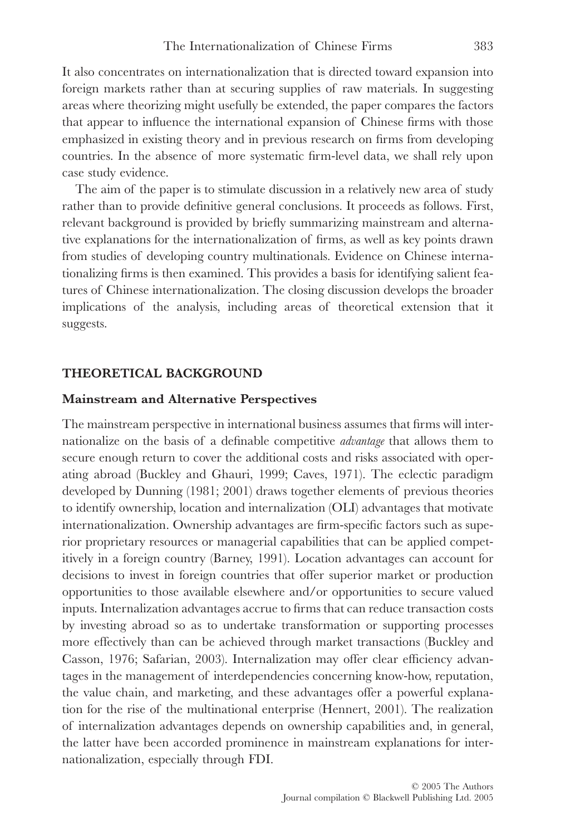It also concentrates on internationalization that is directed toward expansion into foreign markets rather than at securing supplies of raw materials. In suggesting areas where theorizing might usefully be extended, the paper compares the factors that appear to influence the international expansion of Chinese firms with those emphasized in existing theory and in previous research on firms from developing countries. In the absence of more systematic firm-level data, we shall rely upon case study evidence.

The aim of the paper is to stimulate discussion in a relatively new area of study rather than to provide definitive general conclusions. It proceeds as follows. First, relevant background is provided by briefly summarizing mainstream and alternative explanations for the internationalization of firms, as well as key points drawn from studies of developing country multinationals. Evidence on Chinese internationalizing firms is then examined. This provides a basis for identifying salient features of Chinese internationalization. The closing discussion develops the broader implications of the analysis, including areas of theoretical extension that it suggests.

## **THEORETICAL BACKGROUND**

## **Mainstream and Alternative Perspectives**

The mainstream perspective in international business assumes that firms will internationalize on the basis of a definable competitive *advantage* that allows them to secure enough return to cover the additional costs and risks associated with operating abroad (Buckley and Ghauri, 1999; Caves, 1971). The eclectic paradigm developed by Dunning (1981; 2001) draws together elements of previous theories to identify ownership, location and internalization (OLI) advantages that motivate internationalization. Ownership advantages are firm-specific factors such as superior proprietary resources or managerial capabilities that can be applied competitively in a foreign country (Barney, 1991). Location advantages can account for decisions to invest in foreign countries that offer superior market or production opportunities to those available elsewhere and/or opportunities to secure valued inputs. Internalization advantages accrue to firms that can reduce transaction costs by investing abroad so as to undertake transformation or supporting processes more effectively than can be achieved through market transactions (Buckley and Casson, 1976; Safarian, 2003). Internalization may offer clear efficiency advantages in the management of interdependencies concerning know-how, reputation, the value chain, and marketing, and these advantages offer a powerful explanation for the rise of the multinational enterprise (Hennert, 2001). The realization of internalization advantages depends on ownership capabilities and, in general, the latter have been accorded prominence in mainstream explanations for internationalization, especially through FDI.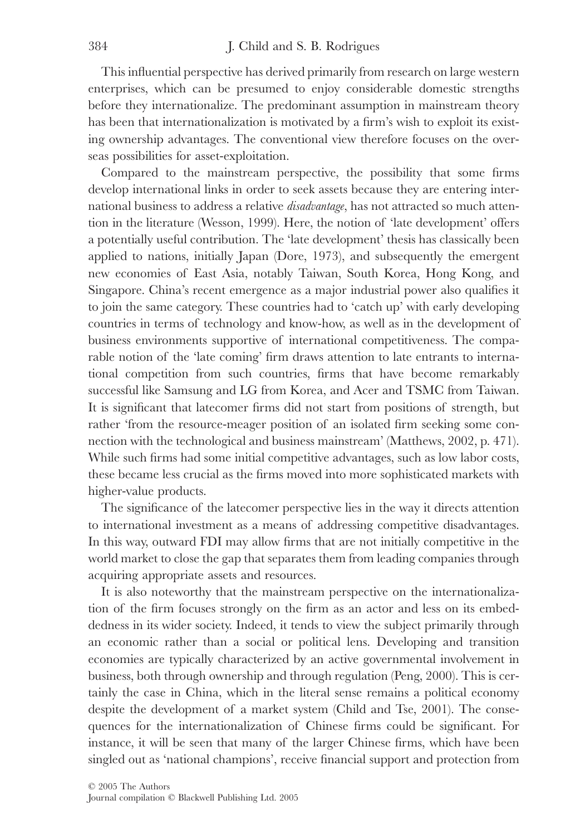This influential perspective has derived primarily from research on large western enterprises, which can be presumed to enjoy considerable domestic strengths before they internationalize. The predominant assumption in mainstream theory has been that internationalization is motivated by a firm's wish to exploit its existing ownership advantages. The conventional view therefore focuses on the overseas possibilities for asset-exploitation.

Compared to the mainstream perspective, the possibility that some firms develop international links in order to seek assets because they are entering international business to address a relative *disadvantage*, has not attracted so much attention in the literature (Wesson, 1999). Here, the notion of 'late development' offers a potentially useful contribution. The 'late development' thesis has classically been applied to nations, initially Japan (Dore, 1973), and subsequently the emergent new economies of East Asia, notably Taiwan, South Korea, Hong Kong, and Singapore. China's recent emergence as a major industrial power also qualifies it to join the same category. These countries had to 'catch up' with early developing countries in terms of technology and know-how, as well as in the development of business environments supportive of international competitiveness. The comparable notion of the 'late coming' firm draws attention to late entrants to international competition from such countries, firms that have become remarkably successful like Samsung and LG from Korea, and Acer and TSMC from Taiwan. It is significant that latecomer firms did not start from positions of strength, but rather 'from the resource-meager position of an isolated firm seeking some connection with the technological and business mainstream' (Matthews, 2002, p. 471). While such firms had some initial competitive advantages, such as low labor costs, these became less crucial as the firms moved into more sophisticated markets with higher-value products.

The significance of the latecomer perspective lies in the way it directs attention to international investment as a means of addressing competitive disadvantages. In this way, outward FDI may allow firms that are not initially competitive in the world market to close the gap that separates them from leading companies through acquiring appropriate assets and resources.

It is also noteworthy that the mainstream perspective on the internationalization of the firm focuses strongly on the firm as an actor and less on its embeddedness in its wider society. Indeed, it tends to view the subject primarily through an economic rather than a social or political lens. Developing and transition economies are typically characterized by an active governmental involvement in business, both through ownership and through regulation (Peng, 2000). This is certainly the case in China, which in the literal sense remains a political economy despite the development of a market system (Child and Tse, 2001). The consequences for the internationalization of Chinese firms could be significant. For instance, it will be seen that many of the larger Chinese firms, which have been singled out as 'national champions', receive financial support and protection from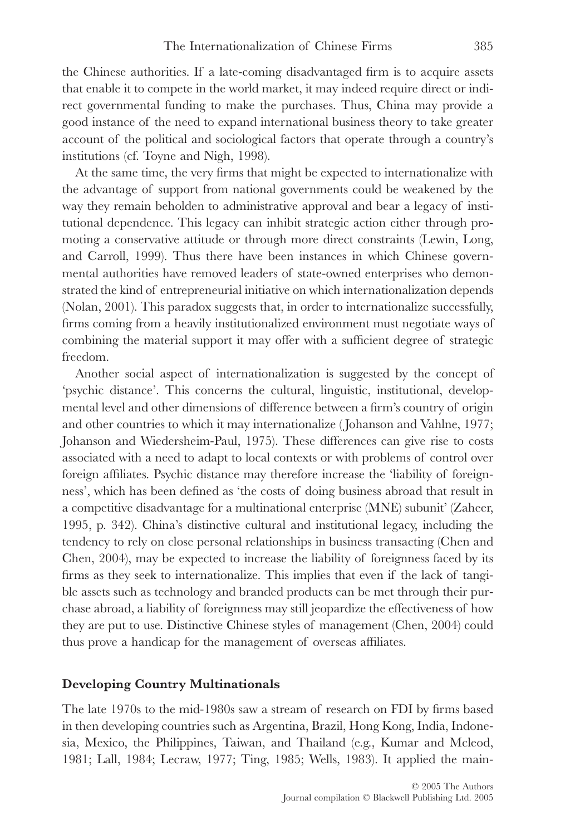the Chinese authorities. If a late-coming disadvantaged firm is to acquire assets that enable it to compete in the world market, it may indeed require direct or indirect governmental funding to make the purchases. Thus, China may provide a good instance of the need to expand international business theory to take greater account of the political and sociological factors that operate through a country's institutions (cf. Toyne and Nigh, 1998).

At the same time, the very firms that might be expected to internationalize with the advantage of support from national governments could be weakened by the way they remain beholden to administrative approval and bear a legacy of institutional dependence. This legacy can inhibit strategic action either through promoting a conservative attitude or through more direct constraints (Lewin, Long, and Carroll, 1999). Thus there have been instances in which Chinese governmental authorities have removed leaders of state-owned enterprises who demonstrated the kind of entrepreneurial initiative on which internationalization depends (Nolan, 2001). This paradox suggests that, in order to internationalize successfully, firms coming from a heavily institutionalized environment must negotiate ways of combining the material support it may offer with a sufficient degree of strategic freedom.

Another social aspect of internationalization is suggested by the concept of 'psychic distance'. This concerns the cultural, linguistic, institutional, developmental level and other dimensions of difference between a firm's country of origin and other countries to which it may internationalize ( Johanson and Vahlne, 1977; Johanson and Wiedersheim-Paul, 1975). These differences can give rise to costs associated with a need to adapt to local contexts or with problems of control over foreign affiliates. Psychic distance may therefore increase the 'liability of foreignness', which has been defined as 'the costs of doing business abroad that result in a competitive disadvantage for a multinational enterprise (MNE) subunit' (Zaheer, 1995, p. 342). China's distinctive cultural and institutional legacy, including the tendency to rely on close personal relationships in business transacting (Chen and Chen, 2004), may be expected to increase the liability of foreignness faced by its firms as they seek to internationalize. This implies that even if the lack of tangible assets such as technology and branded products can be met through their purchase abroad, a liability of foreignness may still jeopardize the effectiveness of how they are put to use. Distinctive Chinese styles of management (Chen, 2004) could thus prove a handicap for the management of overseas affiliates.

## **Developing Country Multinationals**

The late 1970s to the mid-1980s saw a stream of research on FDI by firms based in then developing countries such as Argentina, Brazil, Hong Kong, India, Indonesia, Mexico, the Philippines, Taiwan, and Thailand (e.g., Kumar and Mcleod, 1981; Lall, 1984; Lecraw, 1977; Ting, 1985; Wells, 1983). It applied the main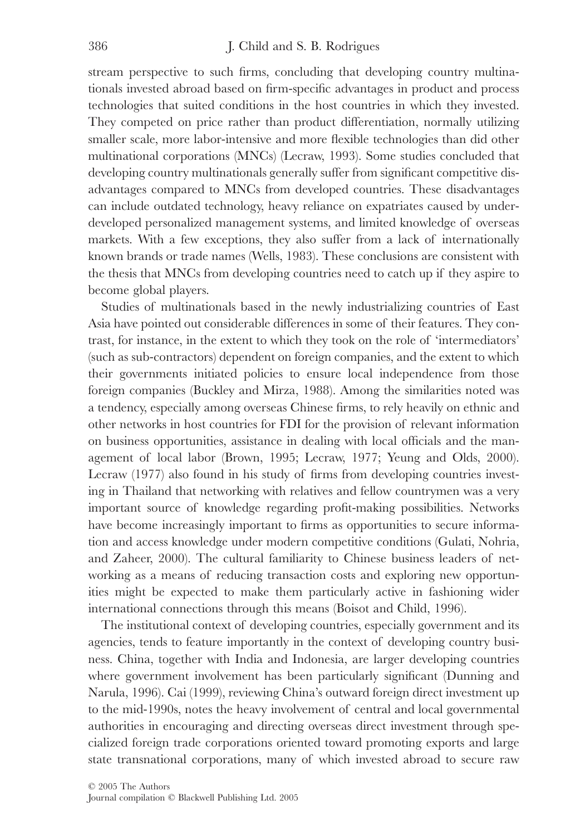stream perspective to such firms, concluding that developing country multinationals invested abroad based on firm-specific advantages in product and process technologies that suited conditions in the host countries in which they invested. They competed on price rather than product differentiation, normally utilizing smaller scale, more labor-intensive and more flexible technologies than did other multinational corporations (MNCs) (Lecraw, 1993). Some studies concluded that developing country multinationals generally suffer from significant competitive disadvantages compared to MNCs from developed countries. These disadvantages can include outdated technology, heavy reliance on expatriates caused by underdeveloped personalized management systems, and limited knowledge of overseas markets. With a few exceptions, they also suffer from a lack of internationally known brands or trade names (Wells, 1983). These conclusions are consistent with the thesis that MNCs from developing countries need to catch up if they aspire to become global players.

Studies of multinationals based in the newly industrializing countries of East Asia have pointed out considerable differences in some of their features. They contrast, for instance, in the extent to which they took on the role of 'intermediators' (such as sub-contractors) dependent on foreign companies, and the extent to which their governments initiated policies to ensure local independence from those foreign companies (Buckley and Mirza, 1988). Among the similarities noted was a tendency, especially among overseas Chinese firms, to rely heavily on ethnic and other networks in host countries for FDI for the provision of relevant information on business opportunities, assistance in dealing with local officials and the management of local labor (Brown, 1995; Lecraw, 1977; Yeung and Olds, 2000). Lecraw (1977) also found in his study of firms from developing countries investing in Thailand that networking with relatives and fellow countrymen was a very important source of knowledge regarding profit-making possibilities. Networks have become increasingly important to firms as opportunities to secure information and access knowledge under modern competitive conditions (Gulati, Nohria, and Zaheer, 2000). The cultural familiarity to Chinese business leaders of networking as a means of reducing transaction costs and exploring new opportunities might be expected to make them particularly active in fashioning wider international connections through this means (Boisot and Child, 1996).

The institutional context of developing countries, especially government and its agencies, tends to feature importantly in the context of developing country business. China, together with India and Indonesia, are larger developing countries where government involvement has been particularly significant (Dunning and Narula, 1996). Cai (1999), reviewing China's outward foreign direct investment up to the mid-1990s, notes the heavy involvement of central and local governmental authorities in encouraging and directing overseas direct investment through specialized foreign trade corporations oriented toward promoting exports and large state transnational corporations, many of which invested abroad to secure raw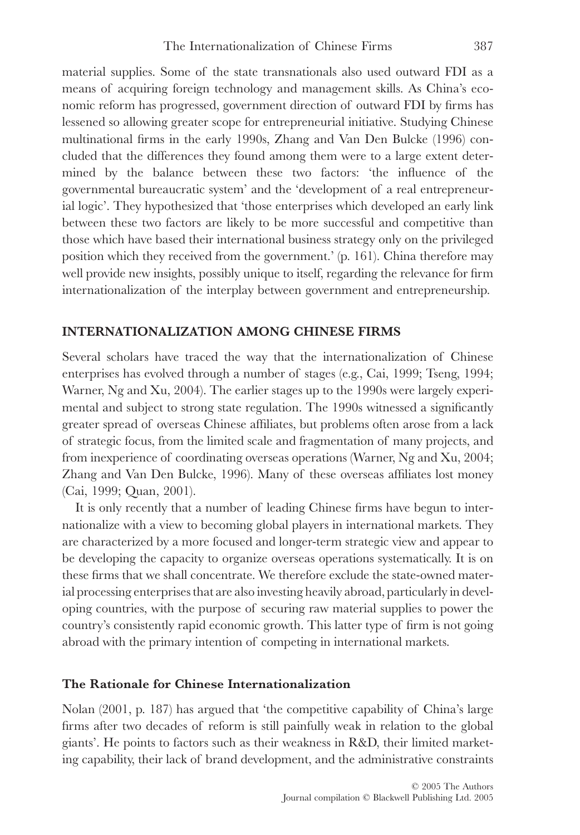material supplies. Some of the state transnationals also used outward FDI as a means of acquiring foreign technology and management skills. As China's economic reform has progressed, government direction of outward FDI by firms has lessened so allowing greater scope for entrepreneurial initiative. Studying Chinese multinational firms in the early 1990s, Zhang and Van Den Bulcke (1996) concluded that the differences they found among them were to a large extent determined by the balance between these two factors: 'the influence of the governmental bureaucratic system' and the 'development of a real entrepreneurial logic'. They hypothesized that 'those enterprises which developed an early link between these two factors are likely to be more successful and competitive than those which have based their international business strategy only on the privileged position which they received from the government.' (p. 161). China therefore may well provide new insights, possibly unique to itself, regarding the relevance for firm internationalization of the interplay between government and entrepreneurship.

## **INTERNATIONALIZATION AMONG CHINESE FIRMS**

Several scholars have traced the way that the internationalization of Chinese enterprises has evolved through a number of stages (e.g., Cai, 1999; Tseng, 1994; Warner, Ng and Xu, 2004). The earlier stages up to the 1990s were largely experimental and subject to strong state regulation. The 1990s witnessed a significantly greater spread of overseas Chinese affiliates, but problems often arose from a lack of strategic focus, from the limited scale and fragmentation of many projects, and from inexperience of coordinating overseas operations (Warner, Ng and Xu, 2004; Zhang and Van Den Bulcke, 1996). Many of these overseas affiliates lost money (Cai, 1999; Quan, 2001).

It is only recently that a number of leading Chinese firms have begun to internationalize with a view to becoming global players in international markets. They are characterized by a more focused and longer-term strategic view and appear to be developing the capacity to organize overseas operations systematically. It is on these firms that we shall concentrate. We therefore exclude the state-owned material processing enterprises that are also investing heavily abroad, particularly in developing countries, with the purpose of securing raw material supplies to power the country's consistently rapid economic growth. This latter type of firm is not going abroad with the primary intention of competing in international markets.

## **The Rationale for Chinese Internationalization**

Nolan (2001, p. 187) has argued that 'the competitive capability of China's large firms after two decades of reform is still painfully weak in relation to the global giants'. He points to factors such as their weakness in R&D, their limited marketing capability, their lack of brand development, and the administrative constraints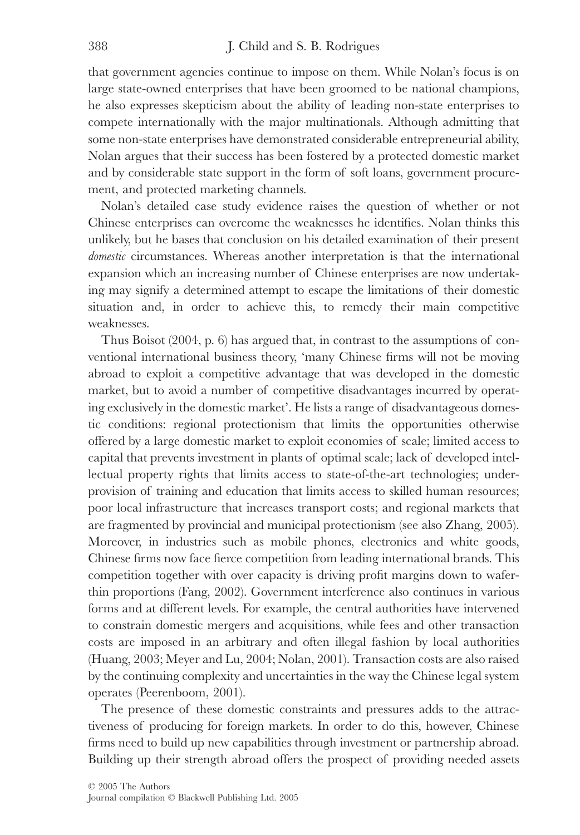that government agencies continue to impose on them. While Nolan's focus is on large state-owned enterprises that have been groomed to be national champions, he also expresses skepticism about the ability of leading non-state enterprises to compete internationally with the major multinationals. Although admitting that some non-state enterprises have demonstrated considerable entrepreneurial ability, Nolan argues that their success has been fostered by a protected domestic market and by considerable state support in the form of soft loans, government procurement, and protected marketing channels.

Nolan's detailed case study evidence raises the question of whether or not Chinese enterprises can overcome the weaknesses he identifies. Nolan thinks this unlikely, but he bases that conclusion on his detailed examination of their present *domestic* circumstances. Whereas another interpretation is that the international expansion which an increasing number of Chinese enterprises are now undertaking may signify a determined attempt to escape the limitations of their domestic situation and, in order to achieve this, to remedy their main competitive weaknesses.

Thus Boisot (2004, p. 6) has argued that, in contrast to the assumptions of conventional international business theory, 'many Chinese firms will not be moving abroad to exploit a competitive advantage that was developed in the domestic market, but to avoid a number of competitive disadvantages incurred by operating exclusively in the domestic market'. He lists a range of disadvantageous domestic conditions: regional protectionism that limits the opportunities otherwise offered by a large domestic market to exploit economies of scale; limited access to capital that prevents investment in plants of optimal scale; lack of developed intellectual property rights that limits access to state-of-the-art technologies; underprovision of training and education that limits access to skilled human resources; poor local infrastructure that increases transport costs; and regional markets that are fragmented by provincial and municipal protectionism (see also Zhang, 2005). Moreover, in industries such as mobile phones, electronics and white goods, Chinese firms now face fierce competition from leading international brands. This competition together with over capacity is driving profit margins down to waferthin proportions (Fang, 2002). Government interference also continues in various forms and at different levels. For example, the central authorities have intervened to constrain domestic mergers and acquisitions, while fees and other transaction costs are imposed in an arbitrary and often illegal fashion by local authorities (Huang, 2003; Meyer and Lu, 2004; Nolan, 2001). Transaction costs are also raised by the continuing complexity and uncertainties in the way the Chinese legal system operates (Peerenboom, 2001).

The presence of these domestic constraints and pressures adds to the attractiveness of producing for foreign markets. In order to do this, however, Chinese firms need to build up new capabilities through investment or partnership abroad. Building up their strength abroad offers the prospect of providing needed assets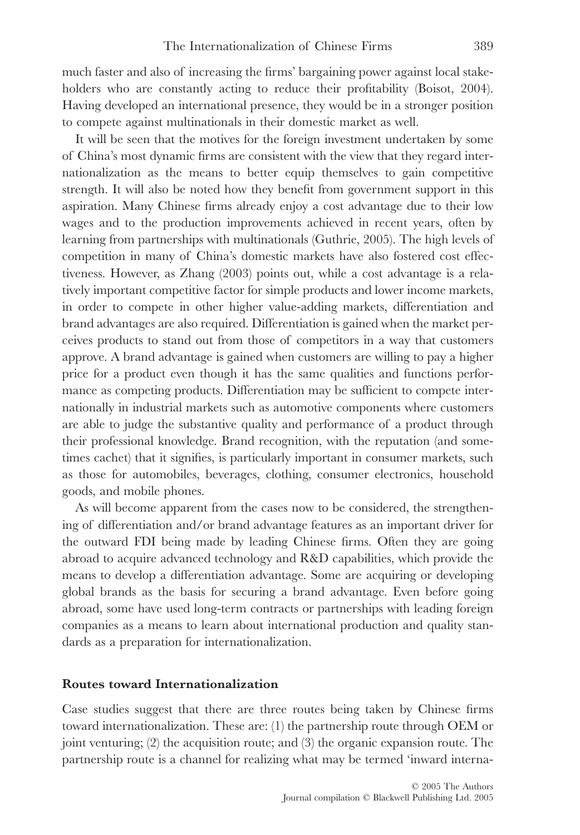much faster and also of increasing the firms' bargaining power against local stakeholders who are constantly acting to reduce their profitability (Boisot, 2004). Having developed an international presence, they would be in a stronger position to compete against multinationals in their domestic market as well.

It will be seen that the motives for the foreign investment undertaken by some of China's most dynamic firms are consistent with the view that they regard internationalization as the means to better equip themselves to gain competitive strength. It will also be noted how they benefit from government support in this aspiration. Many Chinese firms already enjoy a cost advantage due to their low wages and to the production improvements achieved in recent years, often by learning from partnerships with multinationals (Guthrie, 2005). The high levels of competition in many of China's domestic markets have also fostered cost effectiveness. However, as Zhang (2003) points out, while a cost advantage is a relatively important competitive factor for simple products and lower income markets, in order to compete in other higher value-adding markets, differentiation and brand advantages are also required. Differentiation is gained when the market perceives products to stand out from those of competitors in a way that customers approve. A brand advantage is gained when customers are willing to pay a higher price for a product even though it has the same qualities and functions performance as competing products. Differentiation may be sufficient to compete internationally in industrial markets such as automotive components where customers are able to judge the substantive quality and performance of a product through their professional knowledge. Brand recognition, with the reputation (and sometimes cachet) that it signifies, is particularly important in consumer markets, such as those for automobiles, beverages, clothing, consumer electronics, household goods, and mobile phones.

As will become apparent from the cases now to be considered, the strengthening of differentiation and/or brand advantage features as an important driver for the outward FDI being made by leading Chinese firms. Often they are going abroad to acquire advanced technology and R&D capabilities, which provide the means to develop a differentiation advantage. Some are acquiring or developing global brands as the basis for securing a brand advantage. Even before going abroad, some have used long-term contracts or partnerships with leading foreign companies as a means to learn about international production and quality standards as a preparation for internationalization.

## **Routes toward Internationalization**

Case studies suggest that there are three routes being taken by Chinese firms toward internationalization. These are: (1) the partnership route through OEM or joint venturing; (2) the acquisition route; and (3) the organic expansion route. The partnership route is a channel for realizing what may be termed 'inward interna-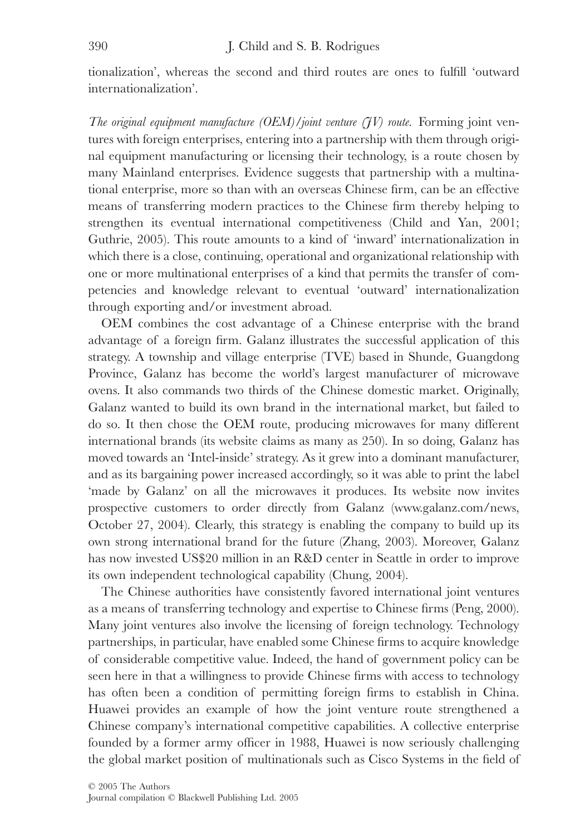tionalization', whereas the second and third routes are ones to fulfill 'outward internationalization'.

*The original equipment manufacture (OEM)/joint venture (JV) route.* Forming joint ventures with foreign enterprises, entering into a partnership with them through original equipment manufacturing or licensing their technology, is a route chosen by many Mainland enterprises. Evidence suggests that partnership with a multinational enterprise, more so than with an overseas Chinese firm, can be an effective means of transferring modern practices to the Chinese firm thereby helping to strengthen its eventual international competitiveness (Child and Yan, 2001; Guthrie, 2005). This route amounts to a kind of 'inward' internationalization in which there is a close, continuing, operational and organizational relationship with one or more multinational enterprises of a kind that permits the transfer of competencies and knowledge relevant to eventual 'outward' internationalization through exporting and/or investment abroad.

OEM combines the cost advantage of a Chinese enterprise with the brand advantage of a foreign firm. Galanz illustrates the successful application of this strategy. A township and village enterprise (TVE) based in Shunde, Guangdong Province, Galanz has become the world's largest manufacturer of microwave ovens. It also commands two thirds of the Chinese domestic market. Originally, Galanz wanted to build its own brand in the international market, but failed to do so. It then chose the OEM route, producing microwaves for many different international brands (its website claims as many as 250). In so doing, Galanz has moved towards an 'Intel-inside' strategy. As it grew into a dominant manufacturer, and as its bargaining power increased accordingly, so it was able to print the label 'made by Galanz' on all the microwaves it produces. Its website now invites prospective customers to order directly from Galanz [\(www.galanz.com/news,](http://www.galanz.com/news) October 27, 2004). Clearly, this strategy is enabling the company to build up its own strong international brand for the future (Zhang, 2003). Moreover, Galanz has now invested US\$20 million in an R&D center in Seattle in order to improve its own independent technological capability (Chung, 2004).

The Chinese authorities have consistently favored international joint ventures as a means of transferring technology and expertise to Chinese firms (Peng, 2000). Many joint ventures also involve the licensing of foreign technology. Technology partnerships, in particular, have enabled some Chinese firms to acquire knowledge of considerable competitive value. Indeed, the hand of government policy can be seen here in that a willingness to provide Chinese firms with access to technology has often been a condition of permitting foreign firms to establish in China. Huawei provides an example of how the joint venture route strengthened a Chinese company's international competitive capabilities. A collective enterprise founded by a former army officer in 1988, Huawei is now seriously challenging the global market position of multinationals such as Cisco Systems in the field of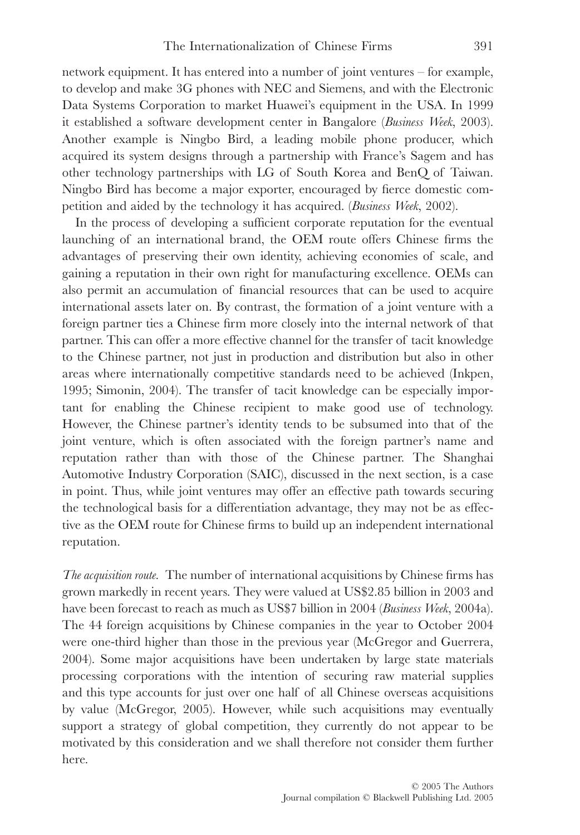network equipment. It has entered into a number of joint ventures – for example, to develop and make 3G phones with NEC and Siemens, and with the Electronic Data Systems Corporation to market Huawei's equipment in the USA. In 1999 it established a software development center in Bangalore (*Business Week*, 2003). Another example is Ningbo Bird, a leading mobile phone producer, which acquired its system designs through a partnership with France's Sagem and has other technology partnerships with LG of South Korea and BenQ of Taiwan. Ningbo Bird has become a major exporter, encouraged by fierce domestic com-

In the process of developing a sufficient corporate reputation for the eventual launching of an international brand, the OEM route offers Chinese firms the advantages of preserving their own identity, achieving economies of scale, and gaining a reputation in their own right for manufacturing excellence. OEMs can also permit an accumulation of financial resources that can be used to acquire international assets later on. By contrast, the formation of a joint venture with a foreign partner ties a Chinese firm more closely into the internal network of that partner. This can offer a more effective channel for the transfer of tacit knowledge to the Chinese partner, not just in production and distribution but also in other areas where internationally competitive standards need to be achieved (Inkpen, 1995; Simonin, 2004). The transfer of tacit knowledge can be especially important for enabling the Chinese recipient to make good use of technology. However, the Chinese partner's identity tends to be subsumed into that of the joint venture, which is often associated with the foreign partner's name and reputation rather than with those of the Chinese partner. The Shanghai Automotive Industry Corporation (SAIC), discussed in the next section, is a case in point. Thus, while joint ventures may offer an effective path towards securing the technological basis for a differentiation advantage, they may not be as effective as the OEM route for Chinese firms to build up an independent international reputation.

*The acquisition route.* The number of international acquisitions by Chinese firms has grown markedly in recent years. They were valued at US\$2.85 billion in 2003 and have been forecast to reach as much as US\$7 billion in 2004 (*Business Week*, 2004a). The 44 foreign acquisitions by Chinese companies in the year to October 2004 were one-third higher than those in the previous year (McGregor and Guerrera, 2004). Some major acquisitions have been undertaken by large state materials processing corporations with the intention of securing raw material supplies and this type accounts for just over one half of all Chinese overseas acquisitions by value (McGregor, 2005). However, while such acquisitions may eventually support a strategy of global competition, they currently do not appear to be motivated by this consideration and we shall therefore not consider them further here.

petition and aided by the technology it has acquired. (*Business Week*, 2002).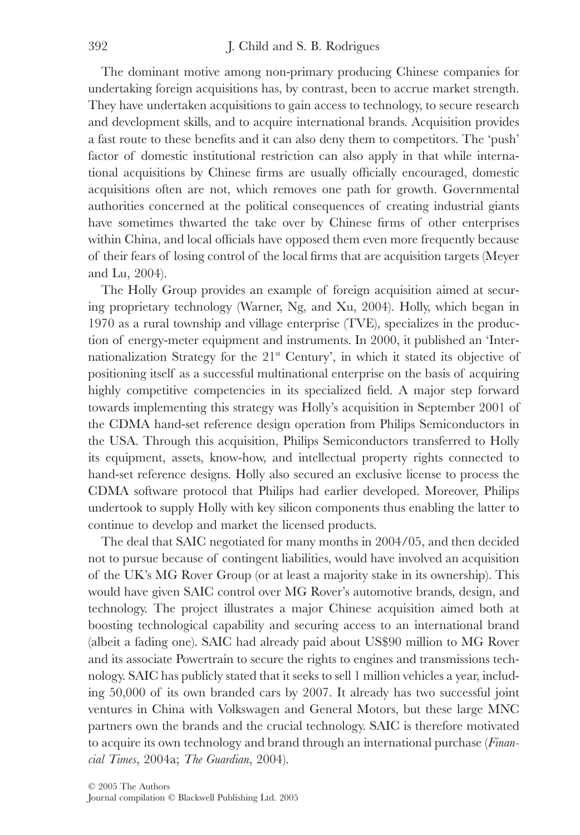The dominant motive among non-primary producing Chinese companies for undertaking foreign acquisitions has, by contrast, been to accrue market strength. They have undertaken acquisitions to gain access to technology, to secure research and development skills, and to acquire international brands. Acquisition provides a fast route to these benefits and it can also deny them to competitors. The 'push' factor of domestic institutional restriction can also apply in that while international acquisitions by Chinese firms are usually officially encouraged, domestic acquisitions often are not, which removes one path for growth. Governmental authorities concerned at the political consequences of creating industrial giants have sometimes thwarted the take over by Chinese firms of other enterprises within China, and local officials have opposed them even more frequently because of their fears of losing control of the local firms that are acquisition targets (Meyer and Lu, 2004).

The Holly Group provides an example of foreign acquisition aimed at securing proprietary technology (Warner, Ng, and Xu, 2004). Holly, which began in 1970 as a rural township and village enterprise (TVE), specializes in the production of energy-meter equipment and instruments. In 2000, it published an 'Internationalization Strategy for the  $21<sup>st</sup>$  Century', in which it stated its objective of positioning itself as a successful multinational enterprise on the basis of acquiring highly competitive competencies in its specialized field. A major step forward towards implementing this strategy was Holly's acquisition in September 2001 of the CDMA hand-set reference design operation from Philips Semiconductors in the USA. Through this acquisition, Philips Semiconductors transferred to Holly its equipment, assets, know-how, and intellectual property rights connected to hand-set reference designs. Holly also secured an exclusive license to process the CDMA software protocol that Philips had earlier developed. Moreover, Philips undertook to supply Holly with key silicon components thus enabling the latter to continue to develop and market the licensed products.

The deal that SAIC negotiated for many months in 2004/05, and then decided not to pursue because of contingent liabilities, would have involved an acquisition of the UK's MG Rover Group (or at least a majority stake in its ownership). This would have given SAIC control over MG Rover's automotive brands, design, and technology. The project illustrates a major Chinese acquisition aimed both at boosting technological capability and securing access to an international brand (albeit a fading one). SAIC had already paid about US\$90 million to MG Rover and its associate Powertrain to secure the rights to engines and transmissions technology. SAIC has publicly stated that it seeks to sell 1 million vehicles a year, including 50,000 of its own branded cars by 2007. It already has two successful joint ventures in China with Volkswagen and General Motors, but these large MNC partners own the brands and the crucial technology. SAIC is therefore motivated to acquire its own technology and brand through an international purchase (*Financial Times*, 2004a; *The Guardian*, 2004).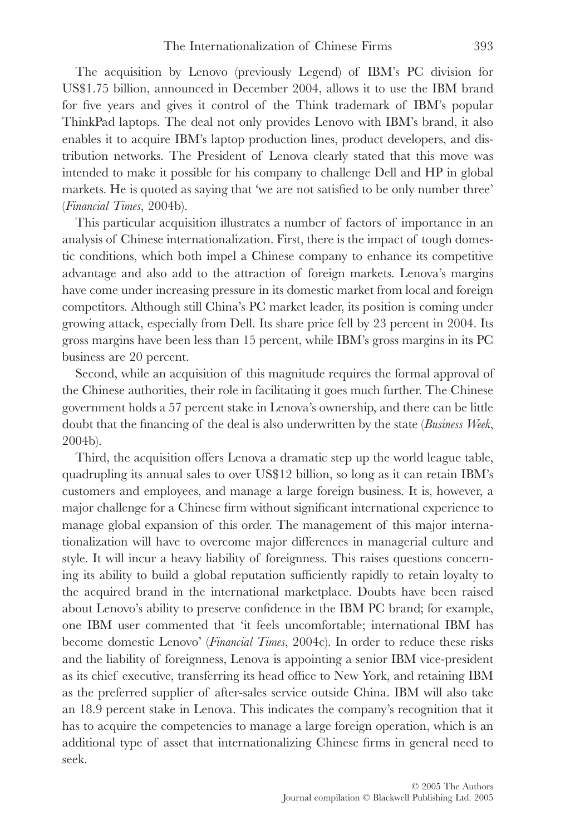The acquisition by Lenovo (previously Legend) of IBM's PC division for US\$1.75 billion, announced in December 2004, allows it to use the IBM brand for five years and gives it control of the Think trademark of IBM's popular ThinkPad laptops. The deal not only provides Lenovo with IBM's brand, it also enables it to acquire IBM's laptop production lines, product developers, and distribution networks. The President of Lenova clearly stated that this move was intended to make it possible for his company to challenge Dell and HP in global markets. He is quoted as saying that 'we are not satisfied to be only number three' (*Financial Times*, 2004b).

This particular acquisition illustrates a number of factors of importance in an analysis of Chinese internationalization. First, there is the impact of tough domestic conditions, which both impel a Chinese company to enhance its competitive advantage and also add to the attraction of foreign markets. Lenova's margins have come under increasing pressure in its domestic market from local and foreign competitors. Although still China's PC market leader, its position is coming under growing attack, especially from Dell. Its share price fell by 23 percent in 2004. Its gross margins have been less than 15 percent, while IBM's gross margins in its PC business are 20 percent.

Second, while an acquisition of this magnitude requires the formal approval of the Chinese authorities, their role in facilitating it goes much further. The Chinese government holds a 57 percent stake in Lenova's ownership, and there can be little doubt that the financing of the deal is also underwritten by the state (*Business Week*, 2004b).

Third, the acquisition offers Lenova a dramatic step up the world league table, quadrupling its annual sales to over US\$12 billion, so long as it can retain IBM's customers and employees, and manage a large foreign business. It is, however, a major challenge for a Chinese firm without significant international experience to manage global expansion of this order. The management of this major internationalization will have to overcome major differences in managerial culture and style. It will incur a heavy liability of foreignness. This raises questions concerning its ability to build a global reputation sufficiently rapidly to retain loyalty to the acquired brand in the international marketplace. Doubts have been raised about Lenovo's ability to preserve confidence in the IBM PC brand; for example, one IBM user commented that 'it feels uncomfortable; international IBM has become domestic Lenovo' (*Financial Times*, 2004c). In order to reduce these risks and the liability of foreignness, Lenova is appointing a senior IBM vice-president as its chief executive, transferring its head office to New York, and retaining IBM as the preferred supplier of after-sales service outside China. IBM will also take an 18.9 percent stake in Lenova. This indicates the company's recognition that it has to acquire the competencies to manage a large foreign operation, which is an additional type of asset that internationalizing Chinese firms in general need to seek.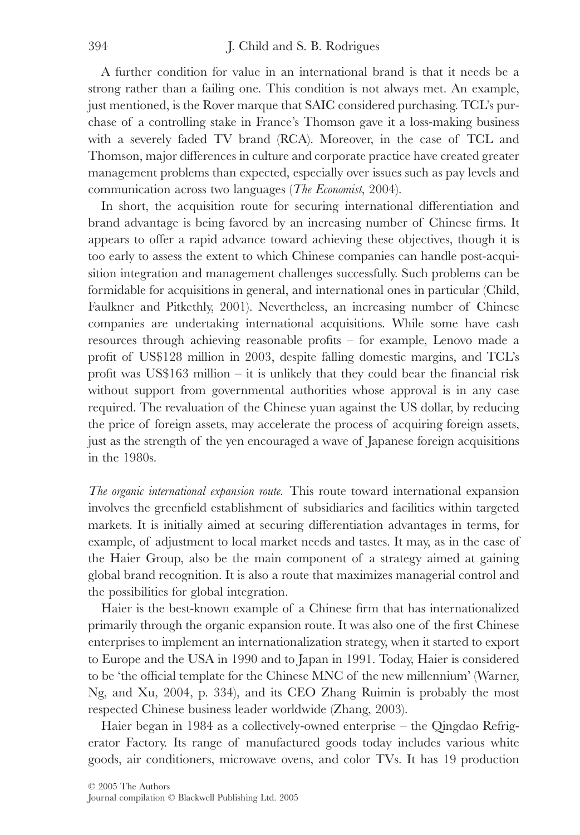A further condition for value in an international brand is that it needs be a strong rather than a failing one. This condition is not always met. An example, just mentioned, is the Rover marque that SAIC considered purchasing. TCL's purchase of a controlling stake in France's Thomson gave it a loss-making business with a severely faded TV brand (RCA). Moreover, in the case of TCL and Thomson, major differences in culture and corporate practice have created greater management problems than expected, especially over issues such as pay levels and communication across two languages (*The Economist*, 2004).

In short, the acquisition route for securing international differentiation and brand advantage is being favored by an increasing number of Chinese firms. It appears to offer a rapid advance toward achieving these objectives, though it is too early to assess the extent to which Chinese companies can handle post-acquisition integration and management challenges successfully. Such problems can be formidable for acquisitions in general, and international ones in particular (Child, Faulkner and Pitkethly, 2001). Nevertheless, an increasing number of Chinese companies are undertaking international acquisitions. While some have cash resources through achieving reasonable profits – for example, Lenovo made a profit of US\$128 million in 2003, despite falling domestic margins, and TCL's profit was US\$163 million – it is unlikely that they could bear the financial risk without support from governmental authorities whose approval is in any case required. The revaluation of the Chinese yuan against the US dollar, by reducing the price of foreign assets, may accelerate the process of acquiring foreign assets, just as the strength of the yen encouraged a wave of Japanese foreign acquisitions in the 1980s.

*The organic international expansion route.* This route toward international expansion involves the greenfield establishment of subsidiaries and facilities within targeted markets. It is initially aimed at securing differentiation advantages in terms, for example, of adjustment to local market needs and tastes. It may, as in the case of the Haier Group, also be the main component of a strategy aimed at gaining global brand recognition. It is also a route that maximizes managerial control and the possibilities for global integration.

Haier is the best-known example of a Chinese firm that has internationalized primarily through the organic expansion route. It was also one of the first Chinese enterprises to implement an internationalization strategy, when it started to export to Europe and the USA in 1990 and to Japan in 1991. Today, Haier is considered to be 'the official template for the Chinese MNC of the new millennium' (Warner, Ng, and Xu, 2004, p. 334), and its CEO Zhang Ruimin is probably the most respected Chinese business leader worldwide (Zhang, 2003).

Haier began in 1984 as a collectively-owned enterprise – the Qingdao Refrigerator Factory. Its range of manufactured goods today includes various white goods, air conditioners, microwave ovens, and color TVs. It has 19 production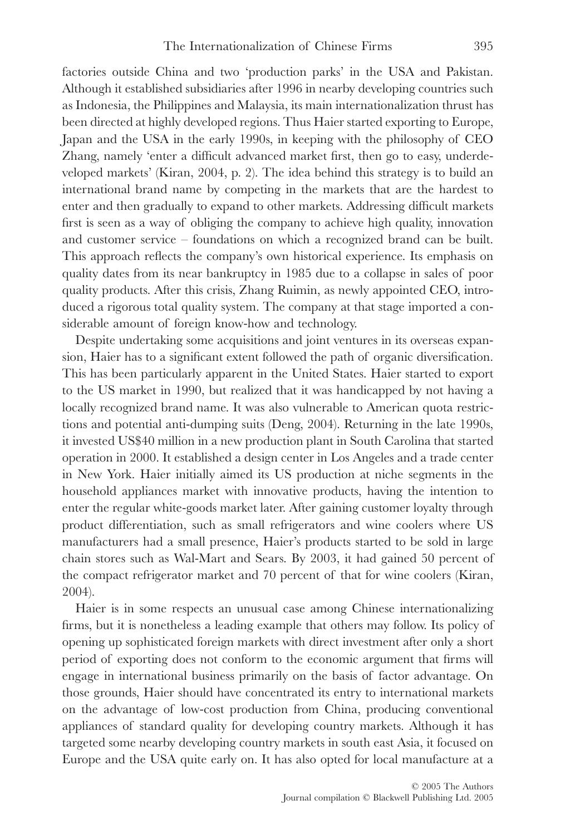factories outside China and two 'production parks' in the USA and Pakistan. Although it established subsidiaries after 1996 in nearby developing countries such as Indonesia, the Philippines and Malaysia, its main internationalization thrust has been directed at highly developed regions. Thus Haier started exporting to Europe, Japan and the USA in the early 1990s, in keeping with the philosophy of CEO Zhang, namely 'enter a difficult advanced market first, then go to easy, underdeveloped markets' (Kiran, 2004, p. 2). The idea behind this strategy is to build an international brand name by competing in the markets that are the hardest to enter and then gradually to expand to other markets. Addressing difficult markets first is seen as a way of obliging the company to achieve high quality, innovation and customer service – foundations on which a recognized brand can be built. This approach reflects the company's own historical experience. Its emphasis on quality dates from its near bankruptcy in 1985 due to a collapse in sales of poor quality products. After this crisis, Zhang Ruimin, as newly appointed CEO, introduced a rigorous total quality system. The company at that stage imported a considerable amount of foreign know-how and technology.

Despite undertaking some acquisitions and joint ventures in its overseas expansion, Haier has to a significant extent followed the path of organic diversification. This has been particularly apparent in the United States. Haier started to export to the US market in 1990, but realized that it was handicapped by not having a locally recognized brand name. It was also vulnerable to American quota restrictions and potential anti-dumping suits (Deng, 2004). Returning in the late 1990s, it invested US\$40 million in a new production plant in South Carolina that started operation in 2000. It established a design center in Los Angeles and a trade center in New York. Haier initially aimed its US production at niche segments in the household appliances market with innovative products, having the intention to enter the regular white-goods market later. After gaining customer loyalty through product differentiation, such as small refrigerators and wine coolers where US manufacturers had a small presence, Haier's products started to be sold in large chain stores such as Wal-Mart and Sears. By 2003, it had gained 50 percent of the compact refrigerator market and 70 percent of that for wine coolers (Kiran, 2004).

Haier is in some respects an unusual case among Chinese internationalizing firms, but it is nonetheless a leading example that others may follow. Its policy of opening up sophisticated foreign markets with direct investment after only a short period of exporting does not conform to the economic argument that firms will engage in international business primarily on the basis of factor advantage. On those grounds, Haier should have concentrated its entry to international markets on the advantage of low-cost production from China, producing conventional appliances of standard quality for developing country markets. Although it has targeted some nearby developing country markets in south east Asia, it focused on Europe and the USA quite early on. It has also opted for local manufacture at a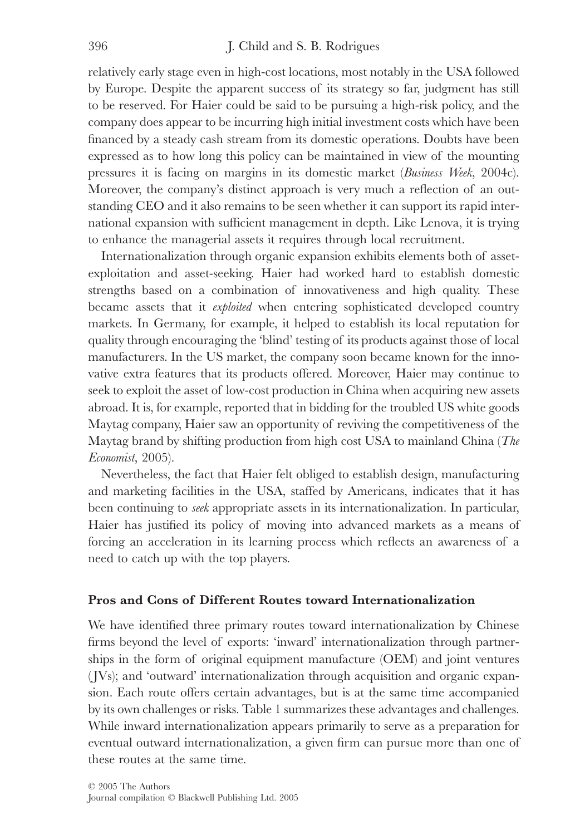relatively early stage even in high-cost locations, most notably in the USA followed by Europe. Despite the apparent success of its strategy so far, judgment has still to be reserved. For Haier could be said to be pursuing a high-risk policy, and the company does appear to be incurring high initial investment costs which have been financed by a steady cash stream from its domestic operations. Doubts have been expressed as to how long this policy can be maintained in view of the mounting pressures it is facing on margins in its domestic market (*Business Week*, 2004c). Moreover, the company's distinct approach is very much a reflection of an outstanding CEO and it also remains to be seen whether it can support its rapid international expansion with sufficient management in depth. Like Lenova, it is trying to enhance the managerial assets it requires through local recruitment.

Internationalization through organic expansion exhibits elements both of assetexploitation and asset-seeking. Haier had worked hard to establish domestic strengths based on a combination of innovativeness and high quality. These became assets that it *exploited* when entering sophisticated developed country markets. In Germany, for example, it helped to establish its local reputation for quality through encouraging the 'blind' testing of its products against those of local manufacturers. In the US market, the company soon became known for the innovative extra features that its products offered. Moreover, Haier may continue to seek to exploit the asset of low-cost production in China when acquiring new assets abroad. It is, for example, reported that in bidding for the troubled US white goods Maytag company, Haier saw an opportunity of reviving the competitiveness of the Maytag brand by shifting production from high cost USA to mainland China (*The Economist*, 2005).

Nevertheless, the fact that Haier felt obliged to establish design, manufacturing and marketing facilities in the USA, staffed by Americans, indicates that it has been continuing to *seek* appropriate assets in its internationalization. In particular, Haier has justified its policy of moving into advanced markets as a means of forcing an acceleration in its learning process which reflects an awareness of a need to catch up with the top players.

## **Pros and Cons of Different Routes toward Internationalization**

We have identified three primary routes toward internationalization by Chinese firms beyond the level of exports: 'inward' internationalization through partnerships in the form of original equipment manufacture (OEM) and joint ventures (JVs); and 'outward' internationalization through acquisition and organic expansion. Each route offers certain advantages, but is at the same time accompanied by its own challenges or risks. Table 1 summarizes these advantages and challenges. While inward internationalization appears primarily to serve as a preparation for eventual outward internationalization, a given firm can pursue more than one of these routes at the same time.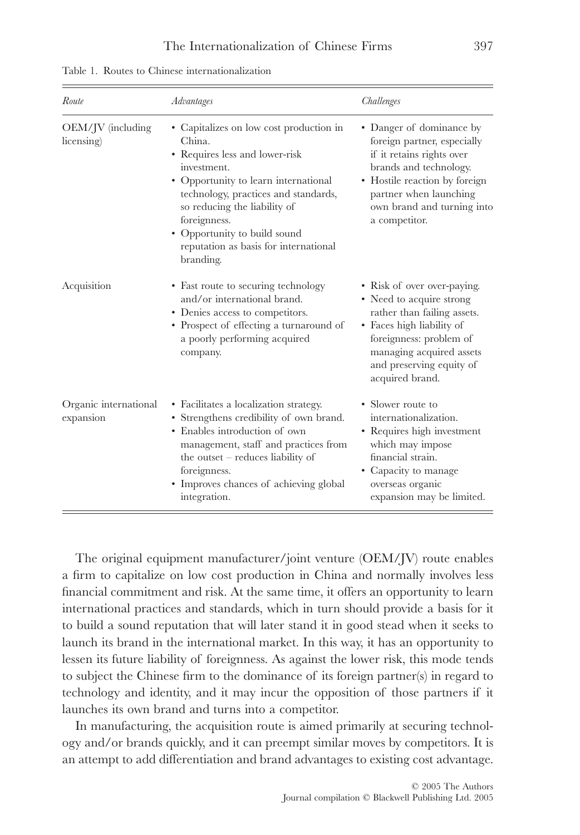| Route                              | <i>Advantages</i>                                                                                                                                                                                                                                                                                                        | <i>Challenges</i>                                                                                                                                                                                                         |
|------------------------------------|--------------------------------------------------------------------------------------------------------------------------------------------------------------------------------------------------------------------------------------------------------------------------------------------------------------------------|---------------------------------------------------------------------------------------------------------------------------------------------------------------------------------------------------------------------------|
| OEM/JV (including<br>licensing)    | • Capitalizes on low cost production in<br>China.<br>• Requires less and lower-risk<br>investment.<br>• Opportunity to learn international<br>technology, practices and standards,<br>so reducing the liability of<br>foreignness.<br>• Opportunity to build sound<br>reputation as basis for international<br>branding. | • Danger of dominance by<br>foreign partner, especially<br>if it retains rights over<br>brands and technology.<br>• Hostile reaction by foreign<br>partner when launching<br>own brand and turning into<br>a competitor.  |
| Acquisition                        | • Fast route to securing technology<br>and/or international brand.<br>• Denies access to competitors.<br>• Prospect of effecting a turnaround of<br>a poorly performing acquired<br>company.                                                                                                                             | • Risk of over over-paying.<br>• Need to acquire strong<br>rather than failing assets.<br>• Faces high liability of<br>foreignness: problem of<br>managing acquired assets<br>and preserving equity of<br>acquired brand. |
| Organic international<br>expansion | • Facilitates a localization strategy.<br>• Strengthens credibility of own brand.<br>• Enables introduction of own<br>management, staff and practices from<br>the outset $-$ reduces liability of<br>foreignness.<br>• Improves chances of achieving global<br>integration.                                              | • Slower route to<br>internationalization.<br>• Requires high investment<br>which may impose<br>financial strain.<br>• Capacity to manage<br>overseas organic<br>expansion may be limited.                                |

Table 1. Routes to Chinese internationalization

The original equipment manufacturer/joint venture (OEM/JV) route enables a firm to capitalize on low cost production in China and normally involves less financial commitment and risk. At the same time, it offers an opportunity to learn international practices and standards, which in turn should provide a basis for it to build a sound reputation that will later stand it in good stead when it seeks to launch its brand in the international market. In this way, it has an opportunity to lessen its future liability of foreignness. As against the lower risk, this mode tends to subject the Chinese firm to the dominance of its foreign partner(s) in regard to technology and identity, and it may incur the opposition of those partners if it launches its own brand and turns into a competitor.

In manufacturing, the acquisition route is aimed primarily at securing technology and/or brands quickly, and it can preempt similar moves by competitors. It is an attempt to add differentiation and brand advantages to existing cost advantage.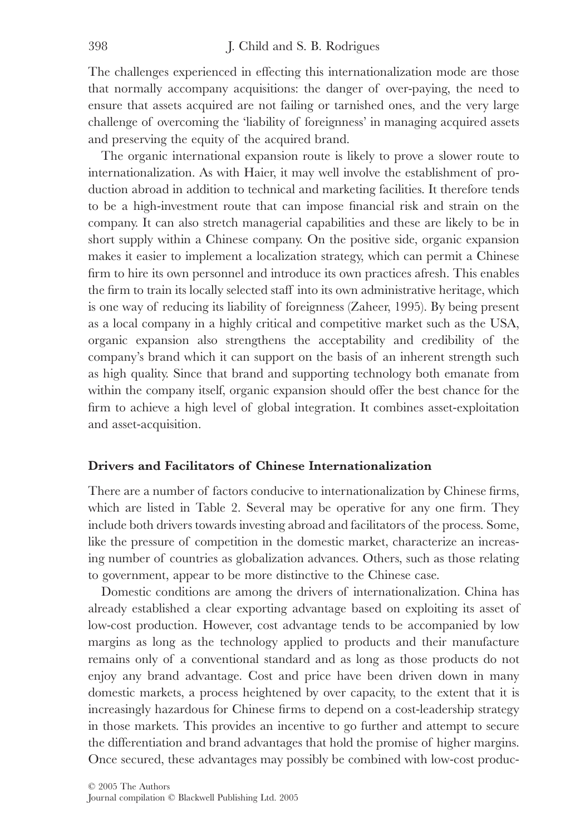The challenges experienced in effecting this internationalization mode are those that normally accompany acquisitions: the danger of over-paying, the need to ensure that assets acquired are not failing or tarnished ones, and the very large challenge of overcoming the 'liability of foreignness' in managing acquired assets and preserving the equity of the acquired brand.

The organic international expansion route is likely to prove a slower route to internationalization. As with Haier, it may well involve the establishment of production abroad in addition to technical and marketing facilities. It therefore tends to be a high-investment route that can impose financial risk and strain on the company. It can also stretch managerial capabilities and these are likely to be in short supply within a Chinese company. On the positive side, organic expansion makes it easier to implement a localization strategy, which can permit a Chinese firm to hire its own personnel and introduce its own practices afresh. This enables the firm to train its locally selected staff into its own administrative heritage, which is one way of reducing its liability of foreignness (Zaheer, 1995). By being present as a local company in a highly critical and competitive market such as the USA, organic expansion also strengthens the acceptability and credibility of the company's brand which it can support on the basis of an inherent strength such as high quality. Since that brand and supporting technology both emanate from within the company itself, organic expansion should offer the best chance for the firm to achieve a high level of global integration. It combines asset-exploitation and asset-acquisition.

## **Drivers and Facilitators of Chinese Internationalization**

There are a number of factors conducive to internationalization by Chinese firms, which are listed in Table 2. Several may be operative for any one firm. They include both drivers towards investing abroad and facilitators of the process. Some, like the pressure of competition in the domestic market, characterize an increasing number of countries as globalization advances. Others, such as those relating to government, appear to be more distinctive to the Chinese case.

Domestic conditions are among the drivers of internationalization. China has already established a clear exporting advantage based on exploiting its asset of low-cost production. However, cost advantage tends to be accompanied by low margins as long as the technology applied to products and their manufacture remains only of a conventional standard and as long as those products do not enjoy any brand advantage. Cost and price have been driven down in many domestic markets, a process heightened by over capacity, to the extent that it is increasingly hazardous for Chinese firms to depend on a cost-leadership strategy in those markets. This provides an incentive to go further and attempt to secure the differentiation and brand advantages that hold the promise of higher margins. Once secured, these advantages may possibly be combined with low-cost produc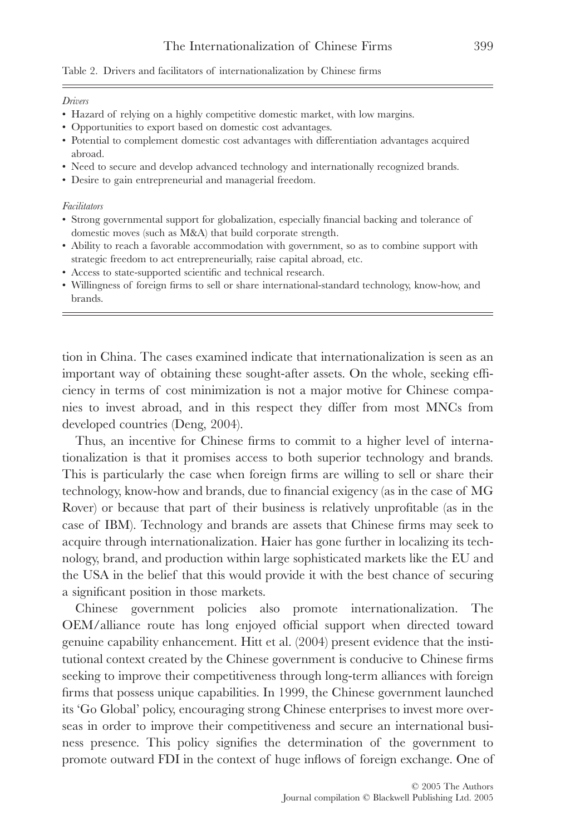Table 2. Drivers and facilitators of internationalization by Chinese firms

#### *Drivers*

- Hazard of relying on a highly competitive domestic market, with low margins.
- Opportunities to export based on domestic cost advantages.
- Potential to complement domestic cost advantages with differentiation advantages acquired abroad.
- Need to secure and develop advanced technology and internationally recognized brands.
- Desire to gain entrepreneurial and managerial freedom.

#### *Facilitators*

- Strong governmental support for globalization, especially financial backing and tolerance of domestic moves (such as M&A) that build corporate strength.
- Ability to reach a favorable accommodation with government, so as to combine support with strategic freedom to act entrepreneurially, raise capital abroad, etc.
- Access to state-supported scientific and technical research.
- Willingness of foreign firms to sell or share international-standard technology, know-how, and brands.

tion in China. The cases examined indicate that internationalization is seen as an important way of obtaining these sought-after assets. On the whole, seeking efficiency in terms of cost minimization is not a major motive for Chinese companies to invest abroad, and in this respect they differ from most MNCs from developed countries (Deng, 2004).

Thus, an incentive for Chinese firms to commit to a higher level of internationalization is that it promises access to both superior technology and brands. This is particularly the case when foreign firms are willing to sell or share their technology, know-how and brands, due to financial exigency (as in the case of MG Rover) or because that part of their business is relatively unprofitable (as in the case of IBM). Technology and brands are assets that Chinese firms may seek to acquire through internationalization. Haier has gone further in localizing its technology, brand, and production within large sophisticated markets like the EU and the USA in the belief that this would provide it with the best chance of securing a significant position in those markets.

Chinese government policies also promote internationalization. The OEM/alliance route has long enjoyed official support when directed toward genuine capability enhancement. Hitt et al. (2004) present evidence that the institutional context created by the Chinese government is conducive to Chinese firms seeking to improve their competitiveness through long-term alliances with foreign firms that possess unique capabilities. In 1999, the Chinese government launched its 'Go Global' policy, encouraging strong Chinese enterprises to invest more overseas in order to improve their competitiveness and secure an international business presence. This policy signifies the determination of the government to promote outward FDI in the context of huge inflows of foreign exchange. One of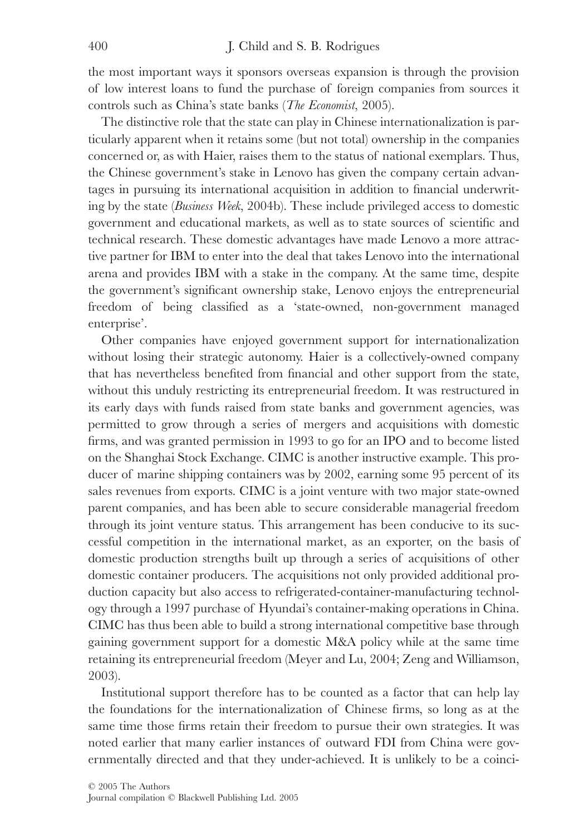the most important ways it sponsors overseas expansion is through the provision of low interest loans to fund the purchase of foreign companies from sources it controls such as China's state banks (*The Economist*, 2005).

The distinctive role that the state can play in Chinese internationalization is particularly apparent when it retains some (but not total) ownership in the companies concerned or, as with Haier, raises them to the status of national exemplars. Thus, the Chinese government's stake in Lenovo has given the company certain advantages in pursuing its international acquisition in addition to financial underwriting by the state (*Business Week*, 2004b). These include privileged access to domestic government and educational markets, as well as to state sources of scientific and technical research. These domestic advantages have made Lenovo a more attractive partner for IBM to enter into the deal that takes Lenovo into the international arena and provides IBM with a stake in the company. At the same time, despite the government's significant ownership stake, Lenovo enjoys the entrepreneurial freedom of being classified as a 'state-owned, non-government managed enterprise'.

Other companies have enjoyed government support for internationalization without losing their strategic autonomy. Haier is a collectively-owned company that has nevertheless benefited from financial and other support from the state, without this unduly restricting its entrepreneurial freedom. It was restructured in its early days with funds raised from state banks and government agencies, was permitted to grow through a series of mergers and acquisitions with domestic firms, and was granted permission in 1993 to go for an IPO and to become listed on the Shanghai Stock Exchange. CIMC is another instructive example. This producer of marine shipping containers was by 2002, earning some 95 percent of its sales revenues from exports. CIMC is a joint venture with two major state-owned parent companies, and has been able to secure considerable managerial freedom through its joint venture status. This arrangement has been conducive to its successful competition in the international market, as an exporter, on the basis of domestic production strengths built up through a series of acquisitions of other domestic container producers. The acquisitions not only provided additional production capacity but also access to refrigerated-container-manufacturing technology through a 1997 purchase of Hyundai's container-making operations in China. CIMC has thus been able to build a strong international competitive base through gaining government support for a domestic M&A policy while at the same time retaining its entrepreneurial freedom (Meyer and Lu, 2004; Zeng and Williamson, 2003).

Institutional support therefore has to be counted as a factor that can help lay the foundations for the internationalization of Chinese firms, so long as at the same time those firms retain their freedom to pursue their own strategies. It was noted earlier that many earlier instances of outward FDI from China were governmentally directed and that they under-achieved. It is unlikely to be a coinci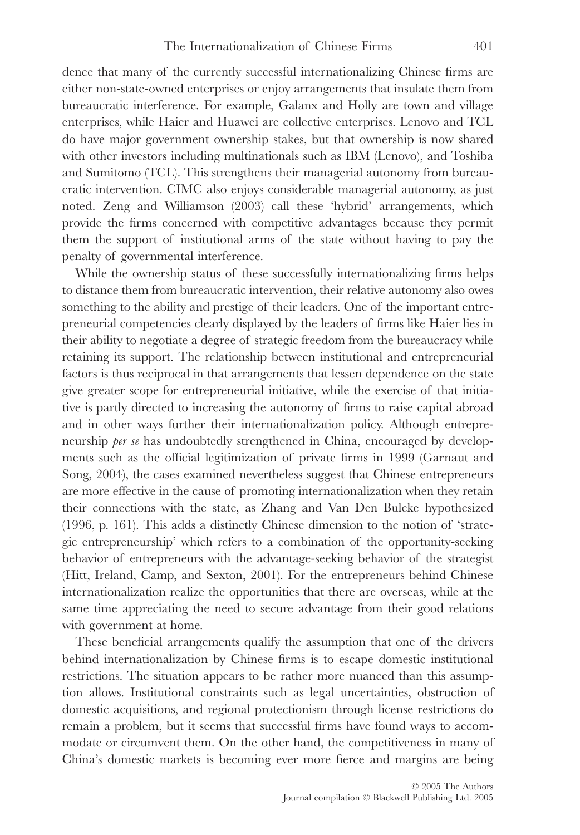dence that many of the currently successful internationalizing Chinese firms are either non-state-owned enterprises or enjoy arrangements that insulate them from bureaucratic interference. For example, Galanx and Holly are town and village enterprises, while Haier and Huawei are collective enterprises. Lenovo and TCL do have major government ownership stakes, but that ownership is now shared with other investors including multinationals such as IBM (Lenovo), and Toshiba and Sumitomo (TCL). This strengthens their managerial autonomy from bureaucratic intervention. CIMC also enjoys considerable managerial autonomy, as just noted. Zeng and Williamson (2003) call these 'hybrid' arrangements, which provide the firms concerned with competitive advantages because they permit them the support of institutional arms of the state without having to pay the penalty of governmental interference.

While the ownership status of these successfully internationalizing firms helps to distance them from bureaucratic intervention, their relative autonomy also owes something to the ability and prestige of their leaders. One of the important entrepreneurial competencies clearly displayed by the leaders of firms like Haier lies in their ability to negotiate a degree of strategic freedom from the bureaucracy while retaining its support. The relationship between institutional and entrepreneurial factors is thus reciprocal in that arrangements that lessen dependence on the state give greater scope for entrepreneurial initiative, while the exercise of that initiative is partly directed to increasing the autonomy of firms to raise capital abroad and in other ways further their internationalization policy. Although entrepreneurship *per se* has undoubtedly strengthened in China, encouraged by developments such as the official legitimization of private firms in 1999 (Garnaut and Song, 2004), the cases examined nevertheless suggest that Chinese entrepreneurs are more effective in the cause of promoting internationalization when they retain their connections with the state, as Zhang and Van Den Bulcke hypothesized (1996, p. 161). This adds a distinctly Chinese dimension to the notion of 'strategic entrepreneurship' which refers to a combination of the opportunity-seeking behavior of entrepreneurs with the advantage-seeking behavior of the strategist (Hitt, Ireland, Camp, and Sexton, 2001). For the entrepreneurs behind Chinese internationalization realize the opportunities that there are overseas, while at the same time appreciating the need to secure advantage from their good relations with government at home.

These beneficial arrangements qualify the assumption that one of the drivers behind internationalization by Chinese firms is to escape domestic institutional restrictions. The situation appears to be rather more nuanced than this assumption allows. Institutional constraints such as legal uncertainties, obstruction of domestic acquisitions, and regional protectionism through license restrictions do remain a problem, but it seems that successful firms have found ways to accommodate or circumvent them. On the other hand, the competitiveness in many of China's domestic markets is becoming ever more fierce and margins are being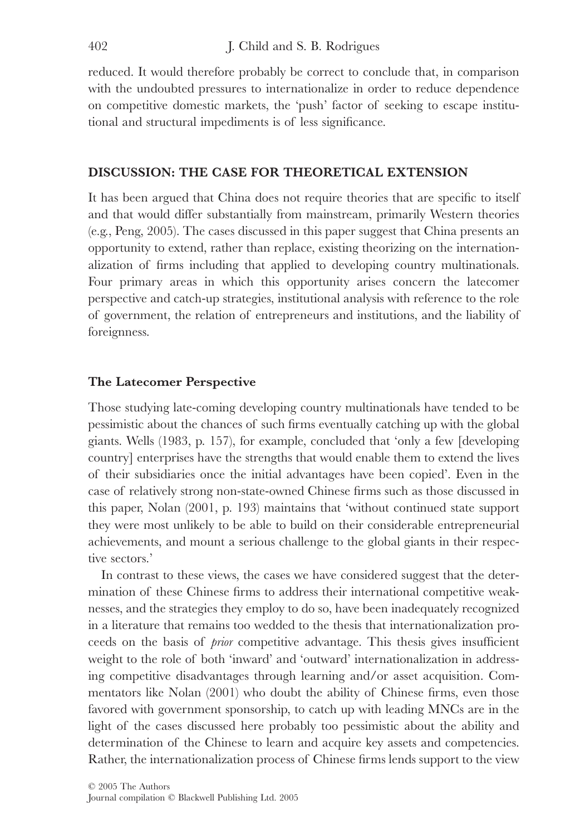reduced. It would therefore probably be correct to conclude that, in comparison with the undoubted pressures to internationalize in order to reduce dependence on competitive domestic markets, the 'push' factor of seeking to escape institutional and structural impediments is of less significance.

## **DISCUSSION: THE CASE FOR THEORETICAL EXTENSION**

It has been argued that China does not require theories that are specific to itself and that would differ substantially from mainstream, primarily Western theories (e.g., Peng, 2005). The cases discussed in this paper suggest that China presents an opportunity to extend, rather than replace, existing theorizing on the internationalization of firms including that applied to developing country multinationals. Four primary areas in which this opportunity arises concern the latecomer perspective and catch-up strategies, institutional analysis with reference to the role of government, the relation of entrepreneurs and institutions, and the liability of foreignness.

## **The Latecomer Perspective**

Those studying late-coming developing country multinationals have tended to be pessimistic about the chances of such firms eventually catching up with the global giants. Wells (1983, p. 157), for example, concluded that 'only a few [developing country] enterprises have the strengths that would enable them to extend the lives of their subsidiaries once the initial advantages have been copied'. Even in the case of relatively strong non-state-owned Chinese firms such as those discussed in this paper, Nolan (2001, p. 193) maintains that 'without continued state support they were most unlikely to be able to build on their considerable entrepreneurial achievements, and mount a serious challenge to the global giants in their respective sectors.'

In contrast to these views, the cases we have considered suggest that the determination of these Chinese firms to address their international competitive weaknesses, and the strategies they employ to do so, have been inadequately recognized in a literature that remains too wedded to the thesis that internationalization proceeds on the basis of *prior* competitive advantage. This thesis gives insufficient weight to the role of both 'inward' and 'outward' internationalization in addressing competitive disadvantages through learning and/or asset acquisition. Commentators like Nolan (2001) who doubt the ability of Chinese firms, even those favored with government sponsorship, to catch up with leading MNCs are in the light of the cases discussed here probably too pessimistic about the ability and determination of the Chinese to learn and acquire key assets and competencies. Rather, the internationalization process of Chinese firms lends support to the view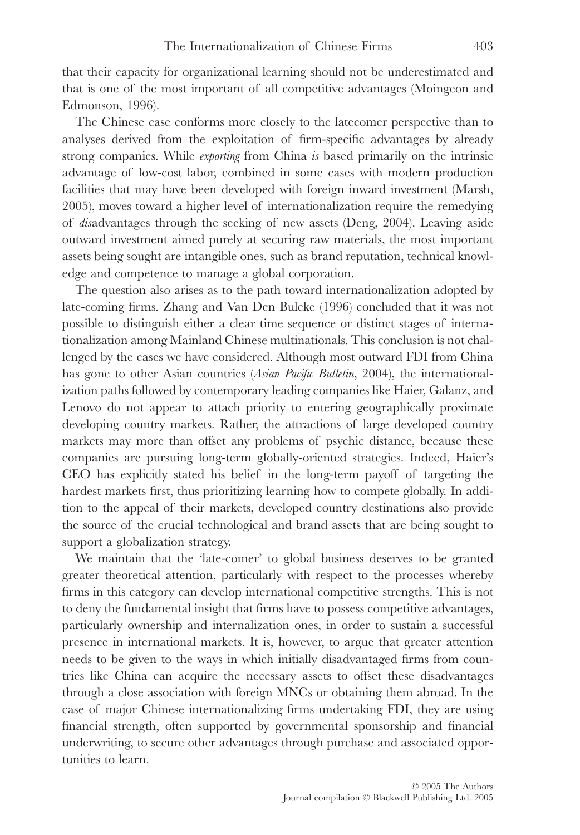that their capacity for organizational learning should not be underestimated and that is one of the most important of all competitive advantages (Moingeon and Edmonson, 1996).

The Chinese case conforms more closely to the latecomer perspective than to analyses derived from the exploitation of firm-specific advantages by already strong companies. While *exporting* from China *is* based primarily on the intrinsic advantage of low-cost labor, combined in some cases with modern production facilities that may have been developed with foreign inward investment (Marsh, 2005), moves toward a higher level of internationalization require the remedying of *dis*advantages through the seeking of new assets (Deng, 2004). Leaving aside outward investment aimed purely at securing raw materials, the most important assets being sought are intangible ones, such as brand reputation, technical knowledge and competence to manage a global corporation.

The question also arises as to the path toward internationalization adopted by late-coming firms. Zhang and Van Den Bulcke (1996) concluded that it was not possible to distinguish either a clear time sequence or distinct stages of internationalization among Mainland Chinese multinationals. This conclusion is not challenged by the cases we have considered. Although most outward FDI from China has gone to other Asian countries (*Asian Pacific Bulletin*, 2004), the internationalization paths followed by contemporary leading companies like Haier, Galanz, and Lenovo do not appear to attach priority to entering geographically proximate developing country markets. Rather, the attractions of large developed country markets may more than offset any problems of psychic distance, because these companies are pursuing long-term globally-oriented strategies. Indeed, Haier's CEO has explicitly stated his belief in the long-term payoff of targeting the hardest markets first, thus prioritizing learning how to compete globally. In addition to the appeal of their markets, developed country destinations also provide the source of the crucial technological and brand assets that are being sought to support a globalization strategy.

We maintain that the 'late-comer' to global business deserves to be granted greater theoretical attention, particularly with respect to the processes whereby firms in this category can develop international competitive strengths. This is not to deny the fundamental insight that firms have to possess competitive advantages, particularly ownership and internalization ones, in order to sustain a successful presence in international markets. It is, however, to argue that greater attention needs to be given to the ways in which initially disadvantaged firms from countries like China can acquire the necessary assets to offset these disadvantages through a close association with foreign MNCs or obtaining them abroad. In the case of major Chinese internationalizing firms undertaking FDI, they are using financial strength, often supported by governmental sponsorship and financial underwriting, to secure other advantages through purchase and associated opportunities to learn.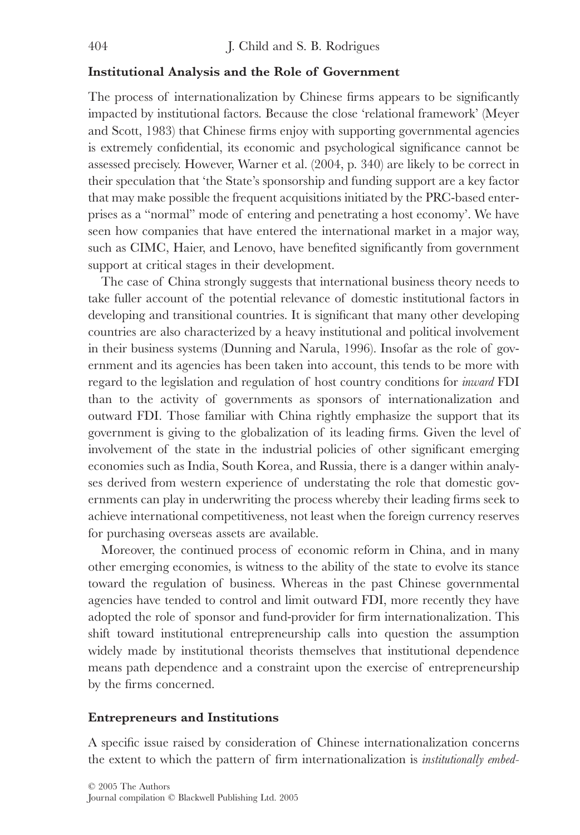## **Institutional Analysis and the Role of Government**

The process of internationalization by Chinese firms appears to be significantly impacted by institutional factors. Because the close 'relational framework' (Meyer and Scott, 1983) that Chinese firms enjoy with supporting governmental agencies is extremely confidential, its economic and psychological significance cannot be assessed precisely. However, Warner et al. (2004, p. 340) are likely to be correct in their speculation that 'the State's sponsorship and funding support are a key factor that may make possible the frequent acquisitions initiated by the PRC-based enterprises as a "normal" mode of entering and penetrating a host economy'. We have seen how companies that have entered the international market in a major way, such as CIMC, Haier, and Lenovo, have benefited significantly from government support at critical stages in their development.

The case of China strongly suggests that international business theory needs to take fuller account of the potential relevance of domestic institutional factors in developing and transitional countries. It is significant that many other developing countries are also characterized by a heavy institutional and political involvement in their business systems (Dunning and Narula, 1996). Insofar as the role of government and its agencies has been taken into account, this tends to be more with regard to the legislation and regulation of host country conditions for *inward* FDI than to the activity of governments as sponsors of internationalization and outward FDI. Those familiar with China rightly emphasize the support that its government is giving to the globalization of its leading firms. Given the level of involvement of the state in the industrial policies of other significant emerging economies such as India, South Korea, and Russia, there is a danger within analyses derived from western experience of understating the role that domestic governments can play in underwriting the process whereby their leading firms seek to achieve international competitiveness, not least when the foreign currency reserves for purchasing overseas assets are available.

Moreover, the continued process of economic reform in China, and in many other emerging economies, is witness to the ability of the state to evolve its stance toward the regulation of business. Whereas in the past Chinese governmental agencies have tended to control and limit outward FDI, more recently they have adopted the role of sponsor and fund-provider for firm internationalization. This shift toward institutional entrepreneurship calls into question the assumption widely made by institutional theorists themselves that institutional dependence means path dependence and a constraint upon the exercise of entrepreneurship by the firms concerned.

## **Entrepreneurs and Institutions**

A specific issue raised by consideration of Chinese internationalization concerns the extent to which the pattern of firm internationalization is *institutionally embed-*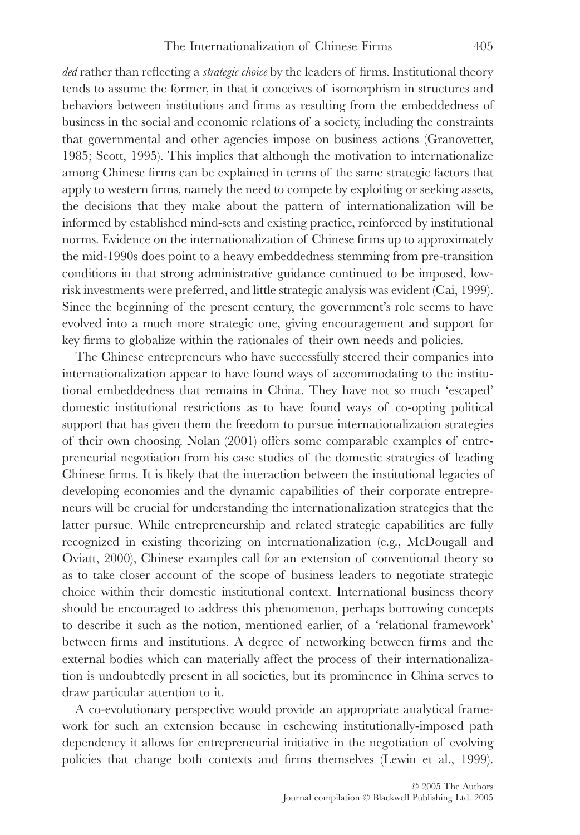*ded* rather than reflecting a *strategic choice* by the leaders of firms. Institutional theory tends to assume the former, in that it conceives of isomorphism in structures and behaviors between institutions and firms as resulting from the embeddedness of business in the social and economic relations of a society, including the constraints that governmental and other agencies impose on business actions (Granovetter, 1985; Scott, 1995). This implies that although the motivation to internationalize among Chinese firms can be explained in terms of the same strategic factors that apply to western firms, namely the need to compete by exploiting or seeking assets, the decisions that they make about the pattern of internationalization will be informed by established mind-sets and existing practice, reinforced by institutional norms. Evidence on the internationalization of Chinese firms up to approximately the mid-1990s does point to a heavy embeddedness stemming from pre-transition conditions in that strong administrative guidance continued to be imposed, lowrisk investments were preferred, and little strategic analysis was evident (Cai, 1999). Since the beginning of the present century, the government's role seems to have evolved into a much more strategic one, giving encouragement and support for key firms to globalize within the rationales of their own needs and policies.

The Chinese entrepreneurs who have successfully steered their companies into internationalization appear to have found ways of accommodating to the institutional embeddedness that remains in China. They have not so much 'escaped' domestic institutional restrictions as to have found ways of co-opting political support that has given them the freedom to pursue internationalization strategies of their own choosing. Nolan (2001) offers some comparable examples of entrepreneurial negotiation from his case studies of the domestic strategies of leading Chinese firms. It is likely that the interaction between the institutional legacies of developing economies and the dynamic capabilities of their corporate entrepreneurs will be crucial for understanding the internationalization strategies that the latter pursue. While entrepreneurship and related strategic capabilities are fully recognized in existing theorizing on internationalization (e.g., McDougall and Oviatt, 2000), Chinese examples call for an extension of conventional theory so as to take closer account of the scope of business leaders to negotiate strategic choice within their domestic institutional context. International business theory should be encouraged to address this phenomenon, perhaps borrowing concepts to describe it such as the notion, mentioned earlier, of a 'relational framework' between firms and institutions. A degree of networking between firms and the external bodies which can materially affect the process of their internationalization is undoubtedly present in all societies, but its prominence in China serves to draw particular attention to it.

A co-evolutionary perspective would provide an appropriate analytical framework for such an extension because in eschewing institutionally-imposed path dependency it allows for entrepreneurial initiative in the negotiation of evolving policies that change both contexts and firms themselves (Lewin et al., 1999).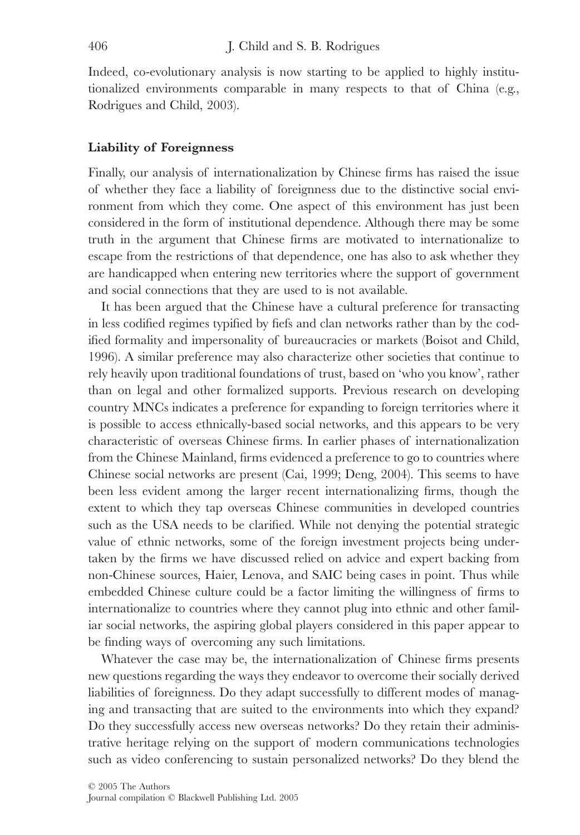Indeed, co-evolutionary analysis is now starting to be applied to highly institutionalized environments comparable in many respects to that of China (e.g., Rodrigues and Child, 2003).

## **Liability of Foreignness**

Finally, our analysis of internationalization by Chinese firms has raised the issue of whether they face a liability of foreignness due to the distinctive social environment from which they come. One aspect of this environment has just been considered in the form of institutional dependence. Although there may be some truth in the argument that Chinese firms are motivated to internationalize to escape from the restrictions of that dependence, one has also to ask whether they are handicapped when entering new territories where the support of government and social connections that they are used to is not available.

It has been argued that the Chinese have a cultural preference for transacting in less codified regimes typified by fiefs and clan networks rather than by the codified formality and impersonality of bureaucracies or markets (Boisot and Child, 1996). A similar preference may also characterize other societies that continue to rely heavily upon traditional foundations of trust, based on 'who you know', rather than on legal and other formalized supports. Previous research on developing country MNCs indicates a preference for expanding to foreign territories where it is possible to access ethnically-based social networks, and this appears to be very characteristic of overseas Chinese firms. In earlier phases of internationalization from the Chinese Mainland, firms evidenced a preference to go to countries where Chinese social networks are present (Cai, 1999; Deng, 2004). This seems to have been less evident among the larger recent internationalizing firms, though the extent to which they tap overseas Chinese communities in developed countries such as the USA needs to be clarified. While not denying the potential strategic value of ethnic networks, some of the foreign investment projects being undertaken by the firms we have discussed relied on advice and expert backing from non-Chinese sources, Haier, Lenova, and SAIC being cases in point. Thus while embedded Chinese culture could be a factor limiting the willingness of firms to internationalize to countries where they cannot plug into ethnic and other familiar social networks, the aspiring global players considered in this paper appear to be finding ways of overcoming any such limitations.

Whatever the case may be, the internationalization of Chinese firms presents new questions regarding the ways they endeavor to overcome their socially derived liabilities of foreignness. Do they adapt successfully to different modes of managing and transacting that are suited to the environments into which they expand? Do they successfully access new overseas networks? Do they retain their administrative heritage relying on the support of modern communications technologies such as video conferencing to sustain personalized networks? Do they blend the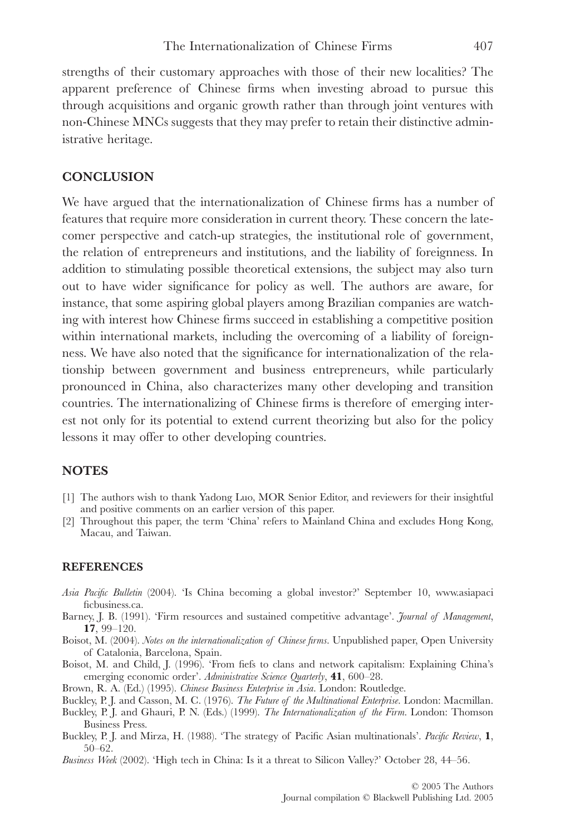strengths of their customary approaches with those of their new localities? The apparent preference of Chinese firms when investing abroad to pursue this through acquisitions and organic growth rather than through joint ventures with non-Chinese MNCs suggests that they may prefer to retain their distinctive administrative heritage.

## **CONCLUSION**

We have argued that the internationalization of Chinese firms has a number of features that require more consideration in current theory. These concern the latecomer perspective and catch-up strategies, the institutional role of government, the relation of entrepreneurs and institutions, and the liability of foreignness. In addition to stimulating possible theoretical extensions, the subject may also turn out to have wider significance for policy as well. The authors are aware, for instance, that some aspiring global players among Brazilian companies are watching with interest how Chinese firms succeed in establishing a competitive position within international markets, including the overcoming of a liability of foreignness. We have also noted that the significance for internationalization of the relationship between government and business entrepreneurs, while particularly pronounced in China, also characterizes many other developing and transition countries. The internationalizing of Chinese firms is therefore of emerging interest not only for its potential to extend current theorizing but also for the policy lessons it may offer to other developing countries.

## **NOTES**

- [1] The authors wish to thank Yadong Luo, MOR Senior Editor, and reviewers for their insightful and positive comments on an earlier version of this paper.
- [2] Throughout this paper, the term 'China' refers to Mainland China and excludes Hong Kong, Macau, and Taiwan.

### **REFERENCES**

- *Asia Pacific Bulletin* (2004). 'Is China becoming a global investor?' September 10, [www.asiapaci](http://www.asiapaci) ficbusiness.ca.
- Barney, J. B. (1991). 'Firm resources and sustained competitive advantage'. *Journal of Management*, **17**, 99–120.
- Boisot, M. (2004). *Notes on the internationalization of Chinese firms*. Unpublished paper, Open University of Catalonia, Barcelona, Spain.
- Boisot, M. and Child, J. (1996). 'From fiefs to clans and network capitalism: Explaining China's emerging economic order'. *Administrative Science Quarterly*, **41**, 600–28.
- Brown, R. A. (Ed.) (1995). *Chinese Business Enterprise in Asia*. London: Routledge.
- Buckley, P. J. and Casson, M. C. (1976). *The Future of the Multinational Enterprise*. London: Macmillan.
- Buckley, P. J. and Ghauri, P. N. (Eds.) (1999). *The Internationalization of the Firm.* London: Thomson Business Press.
- Buckley, P. J. and Mirza, H. (1988). 'The strategy of Pacific Asian multinationals'. *Pacific Review*, **1**, 50–62.
- *Business Week* (2002). 'High tech in China: Is it a threat to Silicon Valley?' October 28, 44–56.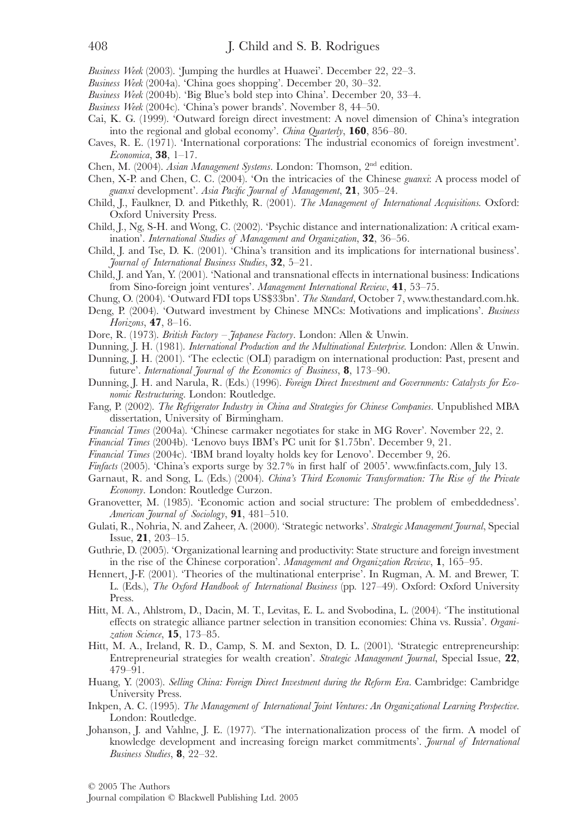*Business Week* (2003). 'Jumping the hurdles at Huawei'. December 22, 22–3.

- *Business Week* (2004a). 'China goes shopping'. December 20, 30–32.
- *Business Week* (2004b). 'Big Blue's bold step into China'. December 20, 33–4.
- *Business Week* (2004c). 'China's power brands'. November 8, 44–50.
- Cai, K. G. (1999). 'Outward foreign direct investment: A novel dimension of China's integration into the regional and global economy'. *China Quarterly*, **160**, 856–80.
- Caves, R. E. (1971). 'International corporations: The industrial economics of foreign investment'. *Economica*, **38**, 1–17.
- Chen, M. (2004). *Asian Management Systems*. London: Thomson, 2nd edition.
- Chen, X-P. and Chen, C. C. (2004). 'On the intricacies of the Chinese *guanxi*: A process model of *guanxi* development'. *Asia Pacific Journal of Management*, **21**, 305–24.
- Child, J., Faulkner, D. and Pitkethly, R. (2001). *The Management of International Acquisitions.* Oxford: Oxford University Press.
- Child, J., Ng, S-H. and Wong, C. (2002). 'Psychic distance and internationalization: A critical examination'. *International Studies of Management and Organization*, **32**, 36–56.
- Child, J. and Tse, D. K. (2001). 'China's transition and its implications for international business'. *Journal of International Business Studies*, **32**, 5–21.
- Child, J. and Yan, Y. (2001). 'National and transnational effects in international business: Indications from Sino-foreign joint ventures'. *Management International Review*, **41**, 53–75.
- Chung, O. (2004). 'Outward FDI tops US\$33bn'. *The Standard*, October 7, [www.thestandard.com.hk.](http://www.thestandard.com.hk)
- Deng, P. (2004). 'Outward investment by Chinese MNCs: Motivations and implications'. *Business Horizons*, **47**, 8–16.
- Dore, R. (1973). *British Factory Japanese Factory*. London: Allen & Unwin.
- Dunning, J. H. (1981). *International Production and the Multinational Enterprise.* London: Allen & Unwin.
- Dunning, J. H. (2001). 'The eclectic (OLI) paradigm on international production: Past, present and future'. *International Journal of the Economics of Business*, **8**, 173–90.
- Dunning, J. H. and Narula, R. (Eds.) (1996). *Foreign Direct Investment and Governments: Catalysts for Economic Restructuring*. London: Routledge.
- Fang, P. (2002). *The Refrigerator Industry in China and Strategies for Chinese Companies*. Unpublished MBA dissertation, University of Birmingham.
- *Financial Times* (2004a). 'Chinese carmaker negotiates for stake in MG Rover'. November 22, 2.
- *Financial Times* (2004b). 'Lenovo buys IBM's PC unit for \$1.75bn'. December 9, 21.
- *Financial Times* (2004c). 'IBM brand loyalty holds key for Lenovo'. December 9, 26.
- *Finfacts* (2005). 'China's exports surge by 32.7% in first half of 2005'. [www.finfacts.com,](http://www.finfacts.com) July 13.
- Garnaut, R. and Song, L. (Eds.) (2004). *China's Third Economic Transformation: The Rise of the Private Economy*. London: Routledge Curzon.
- Granovetter, M. (1985). 'Economic action and social structure: The problem of embeddedness'. *American Journal of Sociology*, **91**, 481–510.
- Gulati, R., Nohria, N. and Zaheer, A. (2000). 'Strategic networks'. *Strategic Management Journal*, Special Issue, **21**, 203–15.
- Guthrie, D. (2005). 'Organizational learning and productivity: State structure and foreign investment in the rise of the Chinese corporation'. *Management and Organization Review*, **1**, 165–95.
- Hennert, J-F. (2001). 'Theories of the multinational enterprise'. In Rugman, A. M. and Brewer, T. L. (Eds.), *The Oxford Handbook of International Business* (pp. 127–49)*.* Oxford: Oxford University Press.
- Hitt, M. A., Ahlstrom, D., Dacin, M. T., Levitas, E. L. and Svobodina, L. (2004). 'The institutional effects on strategic alliance partner selection in transition economies: China vs. Russia'. *Organization Science*, **15**, 173–85.
- Hitt, M. A., Ireland, R. D., Camp, S. M. and Sexton, D. L. (2001). 'Strategic entrepreneurship: Entrepreneurial strategies for wealth creation'. *Strategic Management Journal*, Special Issue, **22**, 479–91.
- Huang, Y. (2003). *Selling China: Foreign Direct Investment during the Reform Era.* Cambridge: Cambridge University Press.
- Inkpen, A. C. (1995). *The Management of International Joint Ventures: An Organizational Learning Perspective*. London: Routledge.
- Johanson, J. and Vahlne, J. E. (1977). 'The internationalization process of the firm. A model of knowledge development and increasing foreign market commitments'. *Journal of International Business Studies*, **8**, 22–32.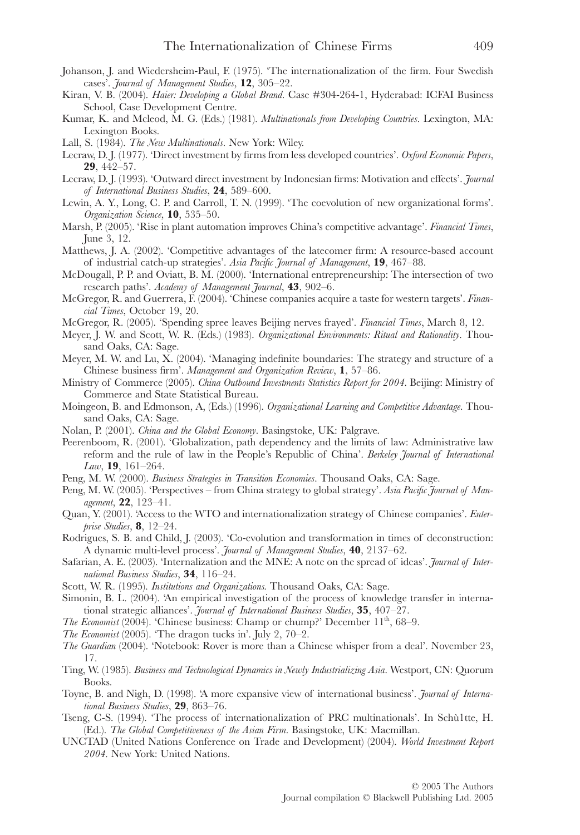- Johanson, J. and Wiedersheim-Paul, F. (1975). 'The internationalization of the firm. Four Swedish cases'. *Journal of Management Studies*, **12**, 305–22.
- Kiran, V. B. (2004). *Haier: Developing a Global Brand.* Case #304-264-1, Hyderabad: ICFAI Business School, Case Development Centre.
- Kumar, K. and Mcleod, M. G. (Eds.) (1981). *Multinationals from Developing Countries*. Lexington, MA: Lexington Books.
- Lall, S. (1984). *The New Multinationals*. New York: Wiley.
- Lecraw, D. J. (1977). 'Direct investment by firms from less developed countries'. *Oxford Economic Papers*, **29**, 442–57.
- Lecraw, D. J. (1993). 'Outward direct investment by Indonesian firms: Motivation and effects'. *Journal of International Business Studies*, **24**, 589–600.
- Lewin, A. Y., Long, C. P. and Carroll, T. N. (1999). 'The coevolution of new organizational forms'. *Organization Science*, **10**, 535–50.
- Marsh, P. (2005). 'Rise in plant automation improves China's competitive advantage'. *Financial Times*, June 3, 12.
- Matthews, J. A. (2002). 'Competitive advantages of the latecomer firm: A resource-based account of industrial catch-up strategies'. *Asia Pacific Journal of Management*, **19**, 467–88.
- McDougall, P. P. and Oviatt, B. M. (2000). 'International entrepreneurship: The intersection of two research paths'. *Academy of Management Journal*, **43**, 902–6.
- McGregor, R. and Guerrera, F. (2004). 'Chinese companies acquire a taste for western targets'. *Financial Times*, October 19, 20.
- McGregor, R. (2005). 'Spending spree leaves Beijing nerves frayed'. *Financial Times*, March 8, 12.
- Meyer, J. W. and Scott, W. R. (Eds.) (1983). *Organizational Environments: Ritual and Rationality*. Thousand Oaks, CA: Sage.
- Meyer, M. W. and Lu, X. (2004). 'Managing indefinite boundaries: The strategy and structure of a Chinese business firm'. *Management and Organization Review*, **1**, 57–86.
- Ministry of Commerce (2005). *China Outbound Investments Statistics Report for 2004.* Beijing: Ministry of Commerce and State Statistical Bureau.
- Moingeon, B. and Edmonson, A, (Eds.) (1996). *Organizational Learning and Competitive Advantage*. Thousand Oaks, CA: Sage.
- Nolan, P. (2001). *China and the Global Economy*. Basingstoke, UK: Palgrave.
- Peerenboom, R. (2001). 'Globalization, path dependency and the limits of law: Administrative law reform and the rule of law in the People's Republic of China'. *Berkeley Journal of International Law*, **19**, 161–264.
- Peng, M. W. (2000). *Business Strategies in Transition Economies*. Thousand Oaks, CA: Sage.
- Peng, M. W. (2005). 'Perspectives from China strategy to global strategy'. *Asia Pacific Journal of Management*, **22**, 123–41.
- Quan, Y. (2001). 'Access to the WTO and internationalization strategy of Chinese companies'. *Enterprise Studies*, **8**, 12–24.
- Rodrigues, S. B. and Child, J. (2003). 'Co-evolution and transformation in times of deconstruction: A dynamic multi-level process'. *Journal of Management Studies*, **40**, 2137–62.
- Safarian, A. E. (2003). 'Internalization and the MNE: A note on the spread of ideas'. *Journal of International Business Studies*, **34**, 116–24.
- Scott, W. R. (1995). *Institutions and Organizations.* Thousand Oaks, CA: Sage.
- Simonin, B. L. (2004). 'An empirical investigation of the process of knowledge transfer in international strategic alliances'. *Journal of International Business Studies*, **35**, 407–27.
- *The Economist* (2004). 'Chinese business: Champ or chump?' December 11<sup>th</sup>, 68–9.
- *The Economist* (2005). 'The dragon tucks in'. July 2, 70–2.
- *The Guardian* (2004). 'Notebook: Rover is more than a Chinese whisper from a deal'. November 23, 17.
- Ting, W. (1985). *Business and Technological Dynamics in Newly Industrializing Asia*. Westport, CN: Quorum Books.
- Toyne, B. and Nigh, D. (1998). 'A more expansive view of international business'. *Journal of International Business Studies*, **29**, 863–76.
- Tseng, C-S. (1994). 'The process of internationalization of PRC multinationals'. In Schù1tte, H. (Ed.). *The Global Competitiveness of the Asian Firm*. Basingstoke, UK: Macmillan.
- UNCTAD (United Nations Conference on Trade and Development) (2004). *World Investment Report 2004*. New York: United Nations.